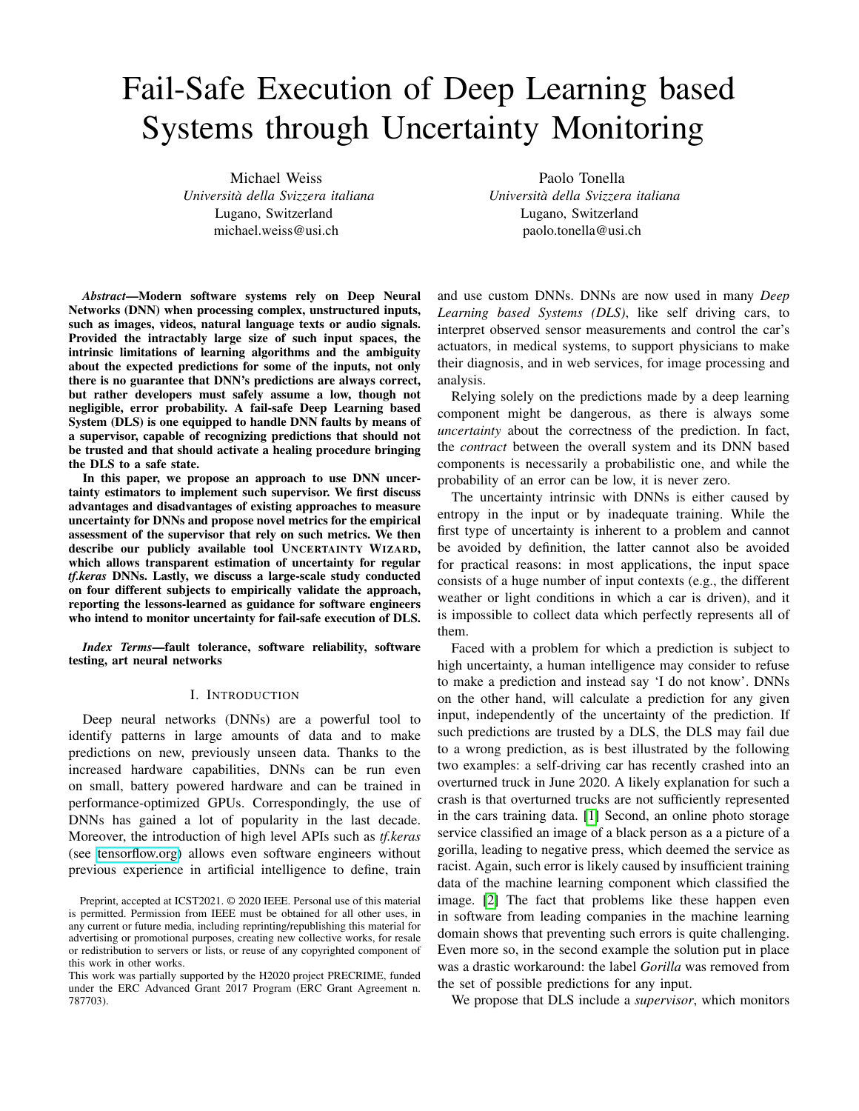# Fail-Safe Execution of Deep Learning based Systems through Uncertainty Monitoring

Michael Weiss *Universita della Svizzera italiana `* Lugano, Switzerland michael.weiss@usi.ch

Paolo Tonella *Universita della Svizzera italiana `* Lugano, Switzerland paolo.tonella@usi.ch

*Abstract*—Modern software systems rely on Deep Neural Networks (DNN) when processing complex, unstructured inputs, such as images, videos, natural language texts or audio signals. Provided the intractably large size of such input spaces, the intrinsic limitations of learning algorithms and the ambiguity about the expected predictions for some of the inputs, not only there is no guarantee that DNN's predictions are always correct, but rather developers must safely assume a low, though not negligible, error probability. A fail-safe Deep Learning based System (DLS) is one equipped to handle DNN faults by means of a supervisor, capable of recognizing predictions that should not be trusted and that should activate a healing procedure bringing the DLS to a safe state.

In this paper, we propose an approach to use DNN uncertainty estimators to implement such supervisor. We first discuss advantages and disadvantages of existing approaches to measure uncertainty for DNNs and propose novel metrics for the empirical assessment of the supervisor that rely on such metrics. We then describe our publicly available tool UNCERTAINTY WIZARD, which allows transparent estimation of uncertainty for regular *tf.keras* DNNs. Lastly, we discuss a large-scale study conducted on four different subjects to empirically validate the approach, reporting the lessons-learned as guidance for software engineers who intend to monitor uncertainty for fail-safe execution of DLS.

*Index Terms*—fault tolerance, software reliability, software testing, art neural networks

#### I. INTRODUCTION

Deep neural networks (DNNs) are a powerful tool to identify patterns in large amounts of data and to make predictions on new, previously unseen data. Thanks to the increased hardware capabilities, DNNs can be run even on small, battery powered hardware and can be trained in performance-optimized GPUs. Correspondingly, the use of DNNs has gained a lot of popularity in the last decade. Moreover, the introduction of high level APIs such as *tf.keras* (see [tensorflow.org\)](https://www.tensorflow.org/) allows even software engineers without previous experience in artificial intelligence to define, train and use custom DNNs. DNNs are now used in many *Deep Learning based Systems (DLS)*, like self driving cars, to interpret observed sensor measurements and control the car's actuators, in medical systems, to support physicians to make their diagnosis, and in web services, for image processing and analysis.

Relying solely on the predictions made by a deep learning component might be dangerous, as there is always some *uncertainty* about the correctness of the prediction. In fact, the *contract* between the overall system and its DNN based components is necessarily a probabilistic one, and while the probability of an error can be low, it is never zero.

The uncertainty intrinsic with DNNs is either caused by entropy in the input or by inadequate training. While the first type of uncertainty is inherent to a problem and cannot be avoided by definition, the latter cannot also be avoided for practical reasons: in most applications, the input space consists of a huge number of input contexts (e.g., the different weather or light conditions in which a car is driven), and it is impossible to collect data which perfectly represents all of them.

Faced with a problem for which a prediction is subject to high uncertainty, a human intelligence may consider to refuse to make a prediction and instead say 'I do not know'. DNNs on the other hand, will calculate a prediction for any given input, independently of the uncertainty of the prediction. If such predictions are trusted by a DLS, the DLS may fail due to a wrong prediction, as is best illustrated by the following two examples: a self-driving car has recently crashed into an overturned truck in June 2020. A likely explanation for such a crash is that overturned trucks are not sufficiently represented in the cars training data. [\[1\]](#page-10-0) Second, an online photo storage service classified an image of a black person as a a picture of a gorilla, leading to negative press, which deemed the service as racist. Again, such error is likely caused by insufficient training data of the machine learning component which classified the image. [\[2\]](#page-10-1) The fact that problems like these happen even in software from leading companies in the machine learning domain shows that preventing such errors is quite challenging. Even more so, in the second example the solution put in place was a drastic workaround: the label *Gorilla* was removed from the set of possible predictions for any input.

We propose that DLS include a *supervisor*, which monitors

Preprint, accepted at ICST2021. © 2020 IEEE. Personal use of this material is permitted. Permission from IEEE must be obtained for all other uses, in any current or future media, including reprinting/republishing this material for advertising or promotional purposes, creating new collective works, for resale or redistribution to servers or lists, or reuse of any copyrighted component of this work in other works.

This work was partially supported by the H2020 project PRECRIME, funded under the ERC Advanced Grant 2017 Program (ERC Grant Agreement n. 787703).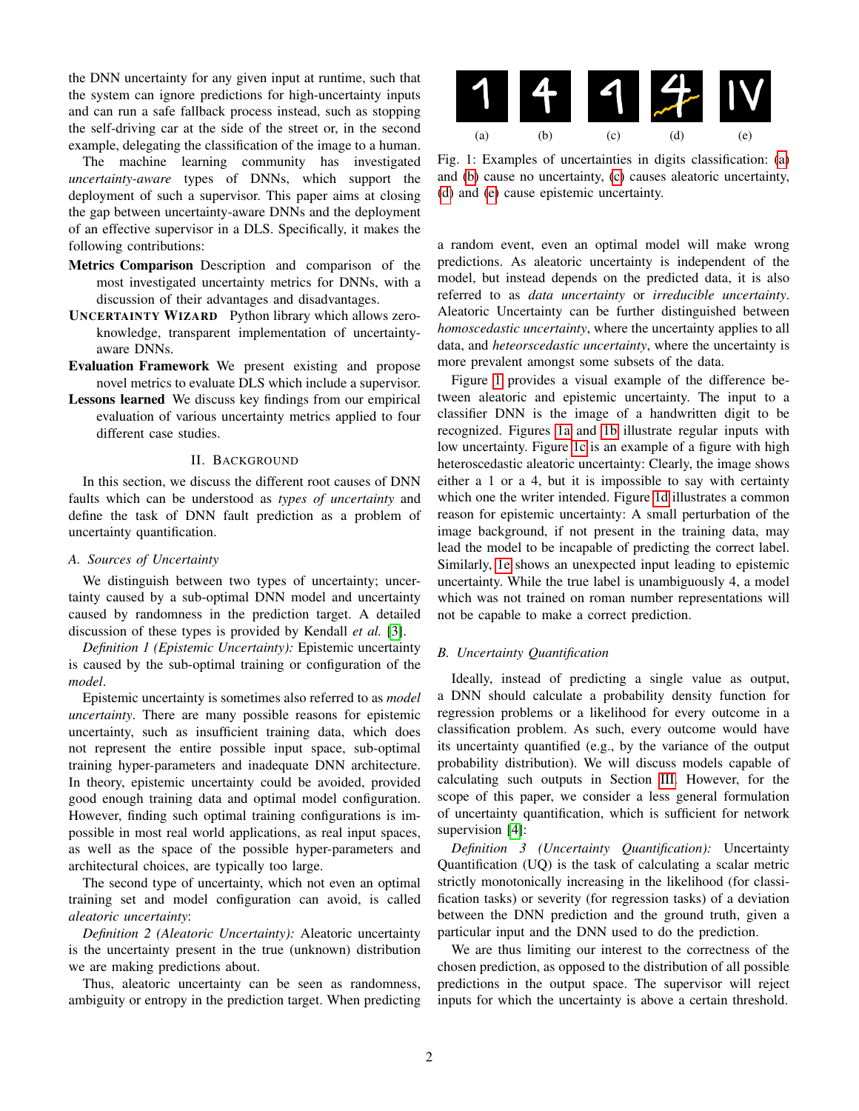the DNN uncertainty for any given input at runtime, such that the system can ignore predictions for high-uncertainty inputs and can run a safe fallback process instead, such as stopping the self-driving car at the side of the street or, in the second example, delegating the classification of the image to a human.

The machine learning community has investigated *uncertainty-aware* types of DNNs, which support the deployment of such a supervisor. This paper aims at closing the gap between uncertainty-aware DNNs and the deployment of an effective supervisor in a DLS. Specifically, it makes the following contributions:

- Metrics Comparison Description and comparison of the most investigated uncertainty metrics for DNNs, with a discussion of their advantages and disadvantages.
- UNCERTAINTY WIZARD Python library which allows zeroknowledge, transparent implementation of uncertaintyaware DNNs.
- Evaluation Framework We present existing and propose novel metrics to evaluate DLS which include a supervisor.
- Lessons learned We discuss key findings from our empirical evaluation of various uncertainty metrics applied to four different case studies.

# II. BACKGROUND

In this section, we discuss the different root causes of DNN faults which can be understood as *types of uncertainty* and define the task of DNN fault prediction as a problem of uncertainty quantification.

# *A. Sources of Uncertainty*

We distinguish between two types of uncertainty; uncertainty caused by a sub-optimal DNN model and uncertainty caused by randomness in the prediction target. A detailed discussion of these types is provided by Kendall *et al.* [\[3\]](#page-10-2).

*Definition 1 (Epistemic Uncertainty):* Epistemic uncertainty is caused by the sub-optimal training or configuration of the *model*.

Epistemic uncertainty is sometimes also referred to as *model uncertainty*. There are many possible reasons for epistemic uncertainty, such as insufficient training data, which does not represent the entire possible input space, sub-optimal training hyper-parameters and inadequate DNN architecture. In theory, epistemic uncertainty could be avoided, provided good enough training data and optimal model configuration. However, finding such optimal training configurations is impossible in most real world applications, as real input spaces, as well as the space of the possible hyper-parameters and architectural choices, are typically too large.

The second type of uncertainty, which not even an optimal training set and model configuration can avoid, is called *aleatoric uncertainty*:

*Definition 2 (Aleatoric Uncertainty):* Aleatoric uncertainty is the uncertainty present in the true (unknown) distribution we are making predictions about.

Thus, aleatoric uncertainty can be seen as randomness, ambiguity or entropy in the prediction target. When predicting

<span id="page-1-0"></span>

Fig. 1: Examples of uncertainties in digits classification: [\(a\)](#page-1-0) and [\(b\)](#page-1-0) cause no uncertainty, [\(c\)](#page-1-0) causes aleatoric uncertainty, [\(d\)](#page-1-0) and [\(e\)](#page-1-0) cause epistemic uncertainty.

a random event, even an optimal model will make wrong predictions. As aleatoric uncertainty is independent of the model, but instead depends on the predicted data, it is also referred to as *data uncertainty* or *irreducible uncertainty*. Aleatoric Uncertainty can be further distinguished between *homoscedastic uncertainty*, where the uncertainty applies to all data, and *heteorscedastic uncertainty*, where the uncertainty is more prevalent amongst some subsets of the data.

Figure [1](#page-1-0) provides a visual example of the difference between aleatoric and epistemic uncertainty. The input to a classifier DNN is the image of a handwritten digit to be recognized. Figures [1a](#page-1-0) and [1b](#page-1-0) illustrate regular inputs with low uncertainty. Figure [1c](#page-1-0) is an example of a figure with high heteroscedastic aleatoric uncertainty: Clearly, the image shows either a 1 or a 4, but it is impossible to say with certainty which one the writer intended. Figure [1d](#page-1-0) illustrates a common reason for epistemic uncertainty: A small perturbation of the image background, if not present in the training data, may lead the model to be incapable of predicting the correct label. Similarly, [1e](#page-1-0) shows an unexpected input leading to epistemic uncertainty. While the true label is unambiguously 4, a model which was not trained on roman number representations will not be capable to make a correct prediction.

# *B. Uncertainty Quantification*

Ideally, instead of predicting a single value as output, a DNN should calculate a probability density function for regression problems or a likelihood for every outcome in a classification problem. As such, every outcome would have its uncertainty quantified (e.g., by the variance of the output probability distribution). We will discuss models capable of calculating such outputs in Section [III.](#page-2-0) However, for the scope of this paper, we consider a less general formulation of uncertainty quantification, which is sufficient for network supervision [\[4\]](#page-10-3):

*Definition 3 (Uncertainty Quantification):* Uncertainty Quantification (UQ) is the task of calculating a scalar metric strictly monotonically increasing in the likelihood (for classification tasks) or severity (for regression tasks) of a deviation between the DNN prediction and the ground truth, given a particular input and the DNN used to do the prediction.

We are thus limiting our interest to the correctness of the chosen prediction, as opposed to the distribution of all possible predictions in the output space. The supervisor will reject inputs for which the uncertainty is above a certain threshold.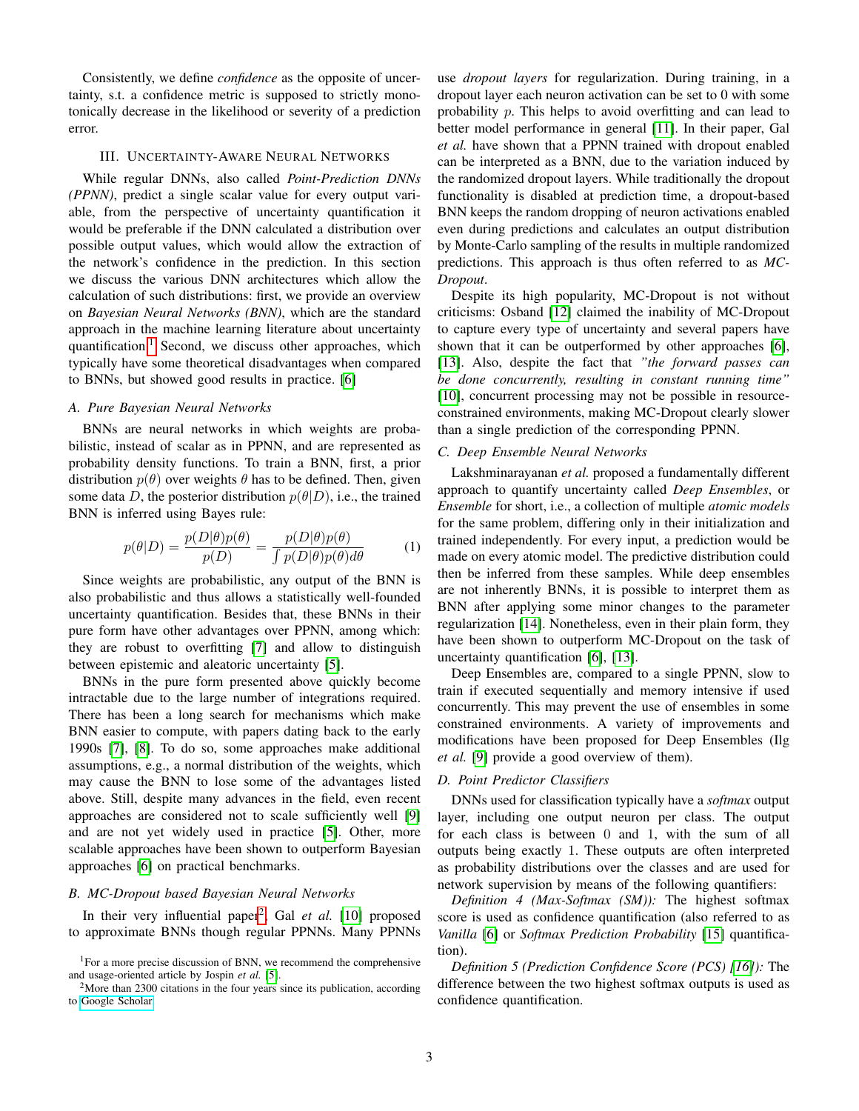Consistently, we define *confidence* as the opposite of uncertainty, s.t. a confidence metric is supposed to strictly monotonically decrease in the likelihood or severity of a prediction error.

# III. UNCERTAINTY-AWARE NEURAL NETWORKS

<span id="page-2-0"></span>While regular DNNs, also called *Point-Prediction DNNs (PPNN)*, predict a single scalar value for every output variable, from the perspective of uncertainty quantification it would be preferable if the DNN calculated a distribution over possible output values, which would allow the extraction of the network's confidence in the prediction. In this section we discuss the various DNN architectures which allow the calculation of such distributions: first, we provide an overview on *Bayesian Neural Networks (BNN)*, which are the standard approach in the machine learning literature about uncertainty quantification. $1$  Second, we discuss other approaches, which typically have some theoretical disadvantages when compared to BNNs, but showed good results in practice. [\[6\]](#page-10-4)

# *A. Pure Bayesian Neural Networks*

BNNs are neural networks in which weights are probabilistic, instead of scalar as in PPNN, and are represented as probability density functions. To train a BNN, first, a prior distribution  $p(\theta)$  over weights  $\theta$  has to be defined. Then, given some data D, the posterior distribution  $p(\theta|D)$ , i.e., the trained BNN is inferred using Bayes rule:

$$
p(\theta|D) = \frac{p(D|\theta)p(\theta)}{p(D)} = \frac{p(D|\theta)p(\theta)}{\int p(D|\theta)p(\theta)d\theta}
$$
 (1)

Since weights are probabilistic, any output of the BNN is also probabilistic and thus allows a statistically well-founded uncertainty quantification. Besides that, these BNNs in their pure form have other advantages over PPNN, among which: they are robust to overfitting [\[7\]](#page-10-5) and allow to distinguish between epistemic and aleatoric uncertainty [\[5\]](#page-10-6).

BNNs in the pure form presented above quickly become intractable due to the large number of integrations required. There has been a long search for mechanisms which make BNN easier to compute, with papers dating back to the early 1990s [\[7\]](#page-10-5), [\[8\]](#page-10-7). To do so, some approaches make additional assumptions, e.g., a normal distribution of the weights, which may cause the BNN to lose some of the advantages listed above. Still, despite many advances in the field, even recent approaches are considered not to scale sufficiently well [\[9\]](#page-10-8) and are not yet widely used in practice [\[5\]](#page-10-6). Other, more scalable approaches have been shown to outperform Bayesian approaches [\[6\]](#page-10-4) on practical benchmarks.

# *B. MC-Dropout based Bayesian Neural Networks*

In their very influential paper<sup>[2](#page-2-2)</sup>, Gal et al. [\[10\]](#page-10-9) proposed to approximate BNNs though regular PPNNs. Many PPNNs use *dropout layers* for regularization. During training, in a dropout layer each neuron activation can be set to 0 with some probability p. This helps to avoid overfitting and can lead to better model performance in general [\[11\]](#page-10-10). In their paper, Gal *et al.* have shown that a PPNN trained with dropout enabled can be interpreted as a BNN, due to the variation induced by the randomized dropout layers. While traditionally the dropout functionality is disabled at prediction time, a dropout-based BNN keeps the random dropping of neuron activations enabled even during predictions and calculates an output distribution by Monte-Carlo sampling of the results in multiple randomized predictions. This approach is thus often referred to as *MC-Dropout*.

Despite its high popularity, MC-Dropout is not without criticisms: Osband [\[12\]](#page-10-11) claimed the inability of MC-Dropout to capture every type of uncertainty and several papers have shown that it can be outperformed by other approaches [\[6\]](#page-10-4), [\[13\]](#page-10-12). Also, despite the fact that *"the forward passes can be done concurrently, resulting in constant running time"* [\[10\]](#page-10-9), concurrent processing may not be possible in resourceconstrained environments, making MC-Dropout clearly slower than a single prediction of the corresponding PPNN.

#### *C. Deep Ensemble Neural Networks*

Lakshminarayanan *et al.* proposed a fundamentally different approach to quantify uncertainty called *Deep Ensembles*, or *Ensemble* for short, i.e., a collection of multiple *atomic models* for the same problem, differing only in their initialization and trained independently. For every input, a prediction would be made on every atomic model. The predictive distribution could then be inferred from these samples. While deep ensembles are not inherently BNNs, it is possible to interpret them as BNN after applying some minor changes to the parameter regularization [\[14\]](#page-10-13). Nonetheless, even in their plain form, they have been shown to outperform MC-Dropout on the task of uncertainty quantification [\[6\]](#page-10-4), [\[13\]](#page-10-12).

Deep Ensembles are, compared to a single PPNN, slow to train if executed sequentially and memory intensive if used concurrently. This may prevent the use of ensembles in some constrained environments. A variety of improvements and modifications have been proposed for Deep Ensembles (Ilg *et al.* [\[9\]](#page-10-8) provide a good overview of them).

#### *D. Point Predictor Classifiers*

DNNs used for classification typically have a *softmax* output layer, including one output neuron per class. The output for each class is between 0 and 1, with the sum of all outputs being exactly 1. These outputs are often interpreted as probability distributions over the classes and are used for network supervision by means of the following quantifiers:

*Definition 4 (Max-Softmax (SM)):* The highest softmax score is used as confidence quantification (also referred to as *Vanilla* [\[6\]](#page-10-4) or *Softmax Prediction Probability* [\[15\]](#page-10-14) quantification).

*Definition 5 (Prediction Confidence Score (PCS) [\[16\]](#page-10-15)):* The difference between the two highest softmax outputs is used as confidence quantification.

<span id="page-2-1"></span><sup>&</sup>lt;sup>1</sup>For a more precise discussion of BNN, we recommend the comprehensive and usage-oriented article by Jospin *et al.* [\[5\]](#page-10-6).

<span id="page-2-2"></span> $2<sup>2</sup>$ More than 2300 citations in the four years since its publication, according to [Google Scholar.](https://scholar.google.com/)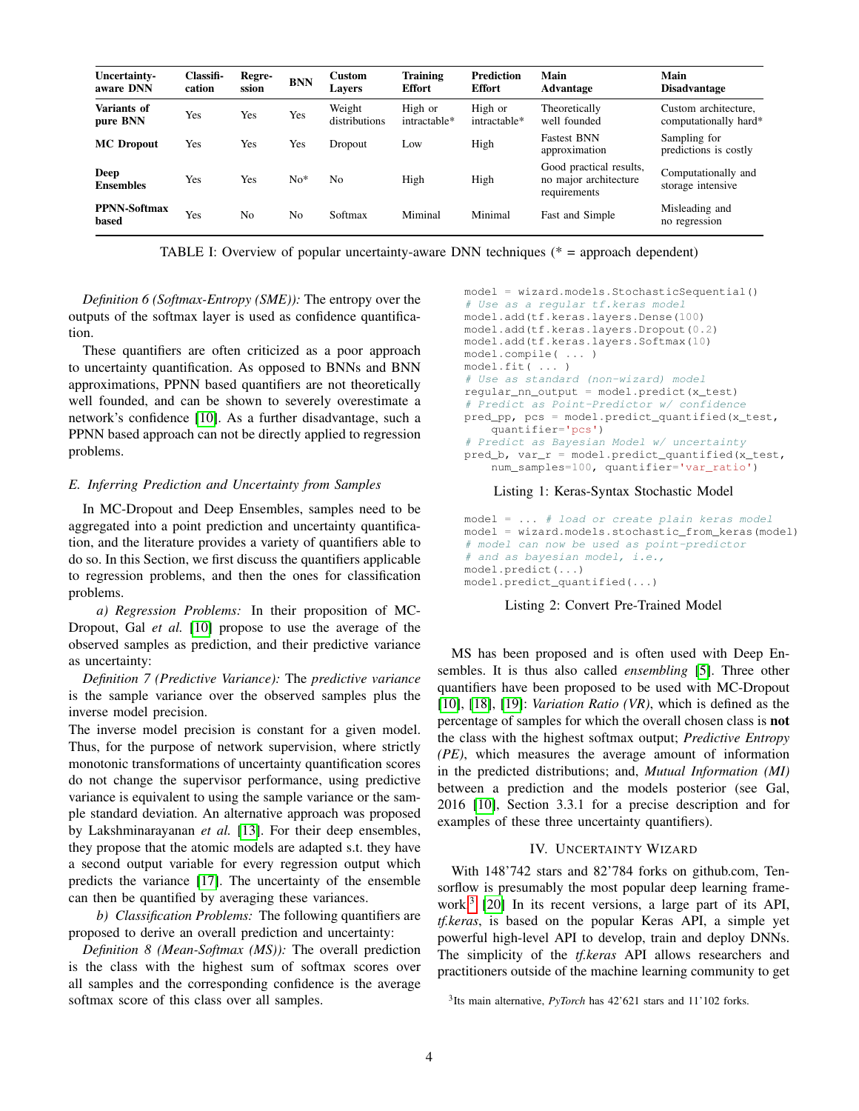| Uncertainty-<br>aware DNN    | Classifi-<br>cation | Regre-<br>ssion | <b>BNN</b> | <b>Custom</b><br><b>Lavers</b> | <b>Training</b><br><b>Effort</b> | <b>Prediction</b><br><b>Effort</b> | Main<br>Advantage                                                | Main<br><b>Disadvantage</b>                   |  |
|------------------------------|---------------------|-----------------|------------|--------------------------------|----------------------------------|------------------------------------|------------------------------------------------------------------|-----------------------------------------------|--|
| Variants of<br>pure BNN      | Yes                 | Yes             | Yes        | Weight<br>distributions        | High or<br>intractable*          | High or<br>intractable*            | Theoretically<br>well founded                                    | Custom architecture,<br>computationally hard* |  |
| <b>MC</b> Dropout            | Yes                 | Yes             | Yes        | Dropout                        | Low                              | High                               | <b>Fastest BNN</b><br>approximation                              | Sampling for<br>predictions is costly         |  |
| Deep<br><b>Ensembles</b>     | Yes                 | Yes             | $No*$      | No                             | High                             | High                               | Good practical results,<br>no major architecture<br>requirements | Computationally and<br>storage intensive      |  |
| <b>PPNN-Softmax</b><br>based | Yes                 | No              | No         | Softmax                        | Miminal                          | Minimal                            | Fast and Simple                                                  | Misleading and<br>no regression               |  |

TABLE I: Overview of popular uncertainty-aware DNN techniques (\* = approach dependent)

*Definition 6 (Softmax-Entropy (SME)):* The entropy over the outputs of the softmax layer is used as confidence quantification.

These quantifiers are often criticized as a poor approach to uncertainty quantification. As opposed to BNNs and BNN approximations, PPNN based quantifiers are not theoretically well founded, and can be shown to severely overestimate a network's confidence [\[10\]](#page-10-9). As a further disadvantage, such a PPNN based approach can not be directly applied to regression problems.

#### *E. Inferring Prediction and Uncertainty from Samples*

In MC-Dropout and Deep Ensembles, samples need to be aggregated into a point prediction and uncertainty quantification, and the literature provides a variety of quantifiers able to do so. In this Section, we first discuss the quantifiers applicable to regression problems, and then the ones for classification problems.

*a) Regression Problems:* In their proposition of MC-Dropout, Gal *et al.* [\[10\]](#page-10-9) propose to use the average of the observed samples as prediction, and their predictive variance as uncertainty:

*Definition 7 (Predictive Variance):* The *predictive variance* is the sample variance over the observed samples plus the inverse model precision.

The inverse model precision is constant for a given model. Thus, for the purpose of network supervision, where strictly monotonic transformations of uncertainty quantification scores do not change the supervisor performance, using predictive variance is equivalent to using the sample variance or the sample standard deviation. An alternative approach was proposed by Lakshminarayanan *et al.* [\[13\]](#page-10-12). For their deep ensembles, they propose that the atomic models are adapted s.t. they have a second output variable for every regression output which predicts the variance [\[17\]](#page-10-16). The uncertainty of the ensemble can then be quantified by averaging these variances.

*b) Classification Problems:* The following quantifiers are proposed to derive an overall prediction and uncertainty:

*Definition 8 (Mean-Softmax (MS)):* The overall prediction is the class with the highest sum of softmax scores over all samples and the corresponding confidence is the average softmax score of this class over all samples.

```
model = wizard.models.StochasticSequential()
# Use as a regular tf.keras model
model.add(tf.keras.layers.Dense(100)
model.add(tf.keras.layers.Dropout(0.2)
model.add(tf.keras.layers.Softmax(10)
model.compile( ... )
model.fit( ... )
# Use as standard (non-wizard) model
regular_nn_output = model.predict(x_test)
# Predict as Point-Predictor w/ confidence
pred_pp, pcs = model.predict_quantified(x_test,
    quantifier='pcs')
# Predict as Bayesian Model w/ uncertainty
pred_b, var_r = model.predict_quantified(x_test,
    num_samples=100, quantifier='var_ratio')
```
#### Listing 1: Keras-Syntax Stochastic Model

model = ... # load or create plain keras model model = wizard.models.stochastic\_from\_keras(model) # model can now be used as point-predictor # and as bayesian model, i.e., model.predict(...) model.predict\_quantified(...)

#### Listing 2: Convert Pre-Trained Model

MS has been proposed and is often used with Deep Ensembles. It is thus also called *ensembling* [\[5\]](#page-10-6). Three other quantifiers have been proposed to be used with MC-Dropout [\[10\]](#page-10-9), [\[18\]](#page-10-17), [\[19\]](#page-10-18): *Variation Ratio (VR)*, which is defined as the percentage of samples for which the overall chosen class is not the class with the highest softmax output; *Predictive Entropy (PE)*, which measures the average amount of information in the predicted distributions; and, *Mutual Information (MI)* between a prediction and the models posterior (see Gal, 2016 [\[10\]](#page-10-9), Section 3.3.1 for a precise description and for examples of these three uncertainty quantifiers).

# IV. UNCERTAINTY WIZARD

With 148'742 stars and 82'784 forks on github.com, Tensorflow is presumably the most popular deep learning framework.[3](#page-3-0) [\[20\]](#page-10-19) In its recent versions, a large part of its API, *tf.keras*, is based on the popular Keras API, a simple yet powerful high-level API to develop, train and deploy DNNs. The simplicity of the *tf.keras* API allows researchers and practitioners outside of the machine learning community to get

<span id="page-3-0"></span><sup>3</sup> Its main alternative, *PyTorch* has 42'621 stars and 11'102 forks.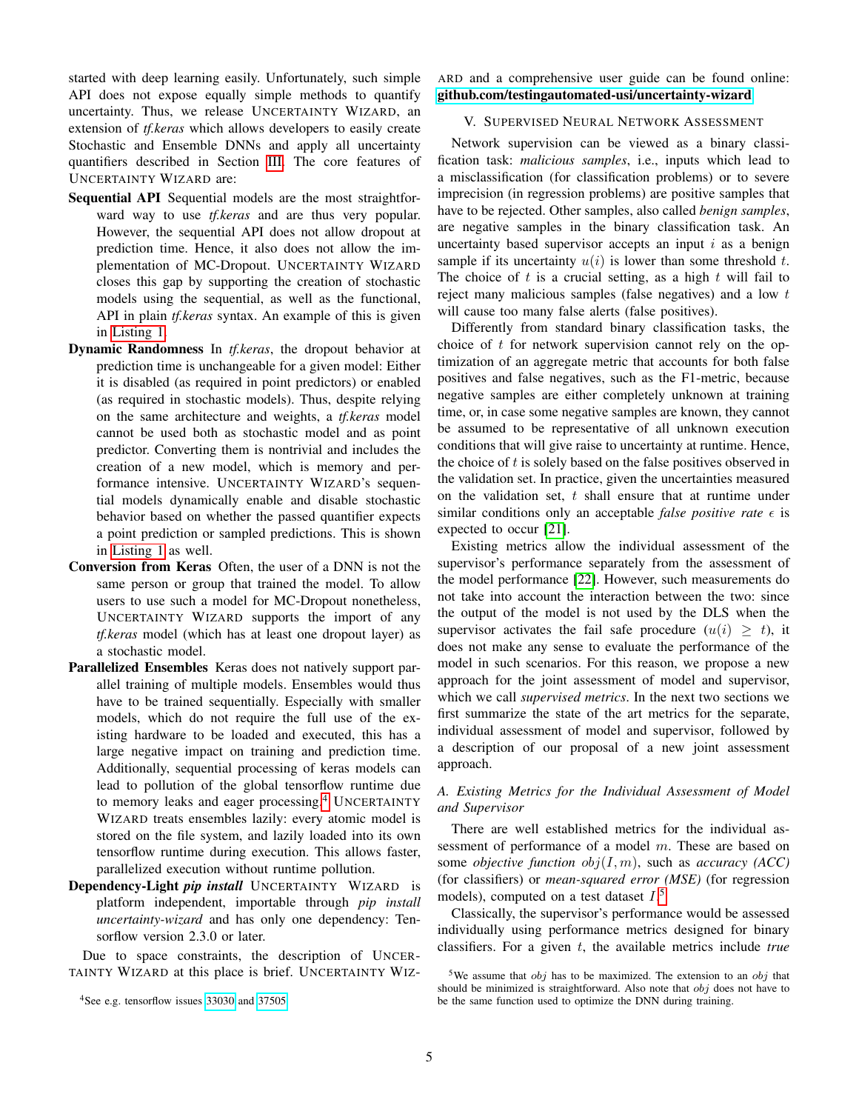started with deep learning easily. Unfortunately, such simple API does not expose equally simple methods to quantify uncertainty. Thus, we release UNCERTAINTY WIZARD, an extension of *tf.keras* which allows developers to easily create Stochastic and Ensemble DNNs and apply all uncertainty quantifiers described in Section [III.](#page-2-0) The core features of UNCERTAINTY WIZARD are:

- Sequential API Sequential models are the most straightforward way to use *tf.keras* and are thus very popular. However, the sequential API does not allow dropout at prediction time. Hence, it also does not allow the implementation of MC-Dropout. UNCERTAINTY WIZARD closes this gap by supporting the creation of stochastic models using the sequential, as well as the functional, API in plain *tf.keras* syntax. An example of this is given in [Listing 1.](#page-3-1)
- Dynamic Randomness In *tf.keras*, the dropout behavior at prediction time is unchangeable for a given model: Either it is disabled (as required in point predictors) or enabled (as required in stochastic models). Thus, despite relying on the same architecture and weights, a *tf.keras* model cannot be used both as stochastic model and as point predictor. Converting them is nontrivial and includes the creation of a new model, which is memory and performance intensive. UNCERTAINTY WIZARD's sequential models dynamically enable and disable stochastic behavior based on whether the passed quantifier expects a point prediction or sampled predictions. This is shown in [Listing 1](#page-3-1) as well.
- Conversion from Keras Often, the user of a DNN is not the same person or group that trained the model. To allow users to use such a model for MC-Dropout nonetheless, UNCERTAINTY WIZARD supports the import of any *tf.keras* model (which has at least one dropout layer) as a stochastic model.
- Parallelized Ensembles Keras does not natively support parallel training of multiple models. Ensembles would thus have to be trained sequentially. Especially with smaller models, which do not require the full use of the existing hardware to be loaded and executed, this has a large negative impact on training and prediction time. Additionally, sequential processing of keras models can lead to pollution of the global tensorflow runtime due to memory leaks and eager processing.<sup>[4](#page-4-0)</sup> UNCERTAINTY WIZARD treats ensembles lazily: every atomic model is stored on the file system, and lazily loaded into its own tensorflow runtime during execution. This allows faster, parallelized execution without runtime pollution.
- Dependency-Light *pip install* UNCERTAINTY WIZARD is platform independent, importable through *pip install uncertainty-wizard* and has only one dependency: Tensorflow version 2.3.0 or later.

Due to space constraints, the description of UNCER-TAINTY WIZARD at this place is brief. UNCERTAINTY WIZ- ARD and a comprehensive user guide can be found online: [github.com/testingautomated-usi/uncertainty-wizard](https://github.com/testingautomated-usi/uncertainty-wizard)

# <span id="page-4-2"></span>V. SUPERVISED NEURAL NETWORK ASSESSMENT

Network supervision can be viewed as a binary classification task: *malicious samples*, i.e., inputs which lead to a misclassification (for classification problems) or to severe imprecision (in regression problems) are positive samples that have to be rejected. Other samples, also called *benign samples*, are negative samples in the binary classification task. An uncertainty based supervisor accepts an input  $i$  as a benign sample if its uncertainty  $u(i)$  is lower than some threshold t. The choice of  $t$  is a crucial setting, as a high  $t$  will fail to reject many malicious samples (false negatives) and a low t will cause too many false alerts (false positives).

Differently from standard binary classification tasks, the choice of  $t$  for network supervision cannot rely on the optimization of an aggregate metric that accounts for both false positives and false negatives, such as the F1-metric, because negative samples are either completely unknown at training time, or, in case some negative samples are known, they cannot be assumed to be representative of all unknown execution conditions that will give raise to uncertainty at runtime. Hence, the choice of  $t$  is solely based on the false positives observed in the validation set. In practice, given the uncertainties measured on the validation set,  $t$  shall ensure that at runtime under similar conditions only an acceptable *false positive rate*  $\epsilon$  is expected to occur [\[21\]](#page-10-20).

Existing metrics allow the individual assessment of the supervisor's performance separately from the assessment of the model performance [\[22\]](#page-10-21). However, such measurements do not take into account the interaction between the two: since the output of the model is not used by the DLS when the supervisor activates the fail safe procedure  $(u(i) \geq t)$ , it does not make any sense to evaluate the performance of the model in such scenarios. For this reason, we propose a new approach for the joint assessment of model and supervisor, which we call *supervised metrics*. In the next two sections we first summarize the state of the art metrics for the separate, individual assessment of model and supervisor, followed by a description of our proposal of a new joint assessment approach.

# *A. Existing Metrics for the Individual Assessment of Model and Supervisor*

There are well established metrics for the individual assessment of performance of a model  $m$ . These are based on some *objective function*  $obj(I, m)$ , such as *accuracy (ACC)* (for classifiers) or *mean-squared error (MSE)* (for regression models), computed on a test dataset  $I^{\,5}$  $I^{\,5}$  $I^{\,5}$ 

Classically, the supervisor's performance would be assessed individually using performance metrics designed for binary classifiers. For a given t, the available metrics include *true*

<span id="page-4-0"></span><sup>&</sup>lt;sup>4</sup>See e.g. tensorflow issues [33030](https://github.com/tensorflow/tensorflow/issues/33030) and [37505.](https://github.com/tensorflow/tensorflow/issues/37505)

<span id="page-4-1"></span><sup>&</sup>lt;sup>5</sup>We assume that  $obj$  has to be maximized. The extension to an  $obj$  that should be minimized is straightforward. Also note that  $obj$  does not have to be the same function used to optimize the DNN during training.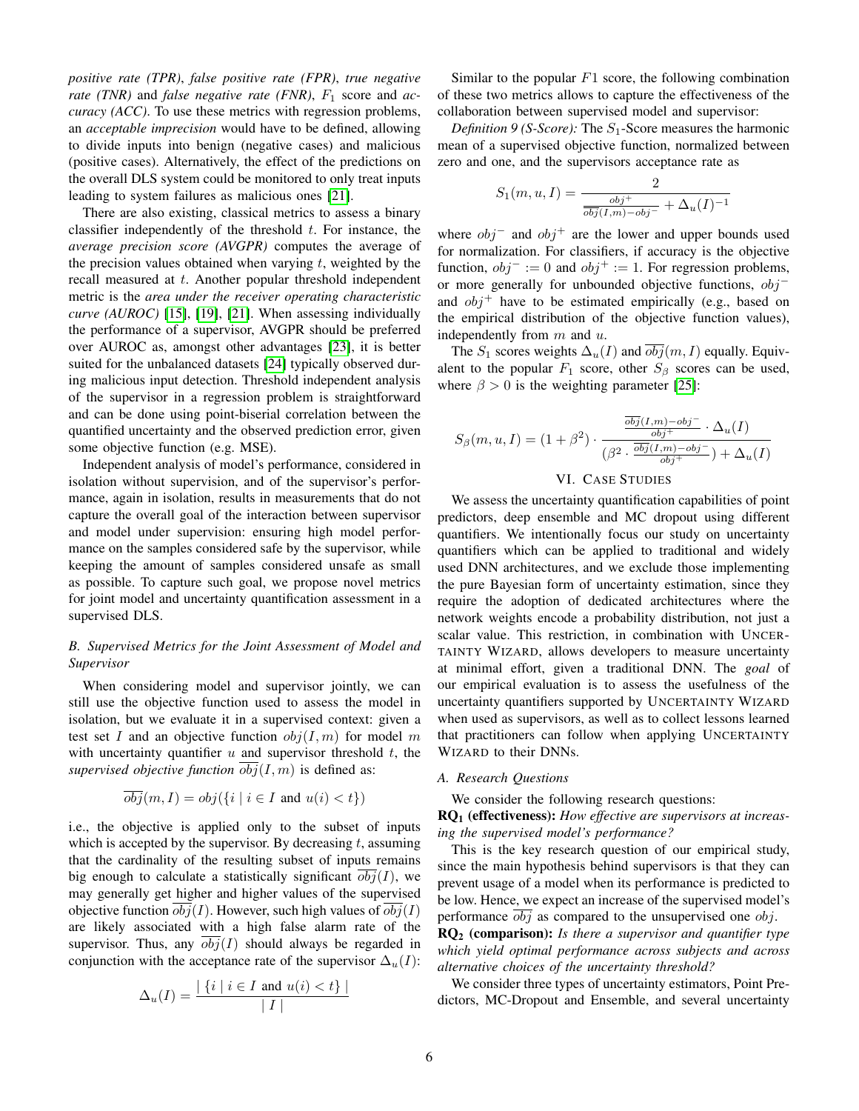*positive rate (TPR)*, *false positive rate (FPR)*, *true negative rate* (TNR) and *false negative rate* (FNR),  $F_1$  score and *accuracy (ACC)*. To use these metrics with regression problems, an *acceptable imprecision* would have to be defined, allowing to divide inputs into benign (negative cases) and malicious (positive cases). Alternatively, the effect of the predictions on the overall DLS system could be monitored to only treat inputs leading to system failures as malicious ones [\[21\]](#page-10-20).

There are also existing, classical metrics to assess a binary classifier independently of the threshold  $t$ . For instance, the *average precision score (AVGPR)* computes the average of the precision values obtained when varying  $t$ , weighted by the recall measured at t. Another popular threshold independent metric is the *area under the receiver operating characteristic curve (AUROC)* [\[15\]](#page-10-14), [\[19\]](#page-10-18), [\[21\]](#page-10-20). When assessing individually the performance of a supervisor, AVGPR should be preferred over AUROC as, amongst other advantages [\[23\]](#page-10-22), it is better suited for the unbalanced datasets [\[24\]](#page-10-23) typically observed during malicious input detection. Threshold independent analysis of the supervisor in a regression problem is straightforward and can be done using point-biserial correlation between the quantified uncertainty and the observed prediction error, given some objective function (e.g. MSE).

Independent analysis of model's performance, considered in isolation without supervision, and of the supervisor's performance, again in isolation, results in measurements that do not capture the overall goal of the interaction between supervisor and model under supervision: ensuring high model performance on the samples considered safe by the supervisor, while keeping the amount of samples considered unsafe as small as possible. To capture such goal, we propose novel metrics for joint model and uncertainty quantification assessment in a supervised DLS.

# *B. Supervised Metrics for the Joint Assessment of Model and Supervisor*

When considering model and supervisor jointly, we can still use the objective function used to assess the model in isolation, but we evaluate it in a supervised context: given a test set I and an objective function  $obj(I, m)$  for model m with uncertainty quantifier  $u$  and supervisor threshold  $t$ , the *supervised objective function*  $\overline{obj}(I, m)$  is defined as:

$$
\overline{obj}(m, I) = obj(\{i \mid i \in I \text{ and } u(i) < t\})
$$

i.e., the objective is applied only to the subset of inputs which is accepted by the supervisor. By decreasing  $t$ , assuming that the cardinality of the resulting subset of inputs remains big enough to calculate a statistically significant  $obj(I)$ , we may generally get higher and higher values of the supervised objective function  $obj(I)$ . However, such high values of  $obj(I)$ are likely associated with a high false alarm rate of the supervisor. Thus, any  $obj(I)$  should always be regarded in conjunction with the acceptance rate of the supervisor  $\Delta_u(I)$ :

$$
\Delta_u(I) = \frac{|\{i \mid i \in I \text{ and } u(i) < t\}|}{|I|}
$$

Similar to the popular  $F1$  score, the following combination of these two metrics allows to capture the effectiveness of the collaboration between supervised model and supervisor:

*Definition 9 (S-Score):* The  $S_1$ -Score measures the harmonic mean of a supervised objective function, normalized between zero and one, and the supervisors acceptance rate as

$$
S_1(m, u, I) = \frac{2}{\frac{obj^+}{obj(I, m) - obj^-} + \Delta_u(I)^{-1}}
$$

where  $obj^-$  and  $obj^+$  are the lower and upper bounds used for normalization. For classifiers, if accuracy is the objective function,  $obj^- := 0$  and  $obj^+ := 1$ . For regression problems, or more generally for unbounded objective functions,  $obj$ <sup>−</sup> and  $obj^+$  have to be estimated empirically (e.g., based on the empirical distribution of the objective function values), independently from  $m$  and  $u$ .

The  $S_1$  scores weights  $\Delta_u(I)$  and  $obj(m, I)$  equally. Equivalent to the popular  $F_1$  score, other  $S_\beta$  scores can be used, where  $\beta > 0$  is the weighting parameter [\[25\]](#page-10-24):

$$
S_{\beta}(m, u, I) = (1 + \beta^2) \cdot \frac{\frac{\overline{obj}(I, m) - obj^-}{obj^+} \cdot \Delta_u(I)}{(\beta^2 \cdot \frac{\overline{obj}(I, m) - obj^-}{obj^+}) + \Delta_u(I)}
$$

# VI. CASE STUDIES

We assess the uncertainty quantification capabilities of point predictors, deep ensemble and MC dropout using different quantifiers. We intentionally focus our study on uncertainty quantifiers which can be applied to traditional and widely used DNN architectures, and we exclude those implementing the pure Bayesian form of uncertainty estimation, since they require the adoption of dedicated architectures where the network weights encode a probability distribution, not just a scalar value. This restriction, in combination with UNCER-TAINTY WIZARD, allows developers to measure uncertainty at minimal effort, given a traditional DNN. The *goal* of our empirical evaluation is to assess the usefulness of the uncertainty quantifiers supported by UNCERTAINTY WIZARD when used as supervisors, as well as to collect lessons learned that practitioners can follow when applying UNCERTAINTY WIZARD to their DNNs.

#### *A. Research Questions*

We consider the following research questions:

RQ<sup>1</sup> (effectiveness): *How effective are supervisors at increasing the supervised model's performance?*

This is the key research question of our empirical study, since the main hypothesis behind supervisors is that they can prevent usage of a model when its performance is predicted to be low. Hence, we expect an increase of the supervised model's performance  $obj$  as compared to the unsupervised one  $obj$ .

RQ<sup>2</sup> (comparison): *Is there a supervisor and quantifier type which yield optimal performance across subjects and across alternative choices of the uncertainty threshold?*

We consider three types of uncertainty estimators, Point Predictors, MC-Dropout and Ensemble, and several uncertainty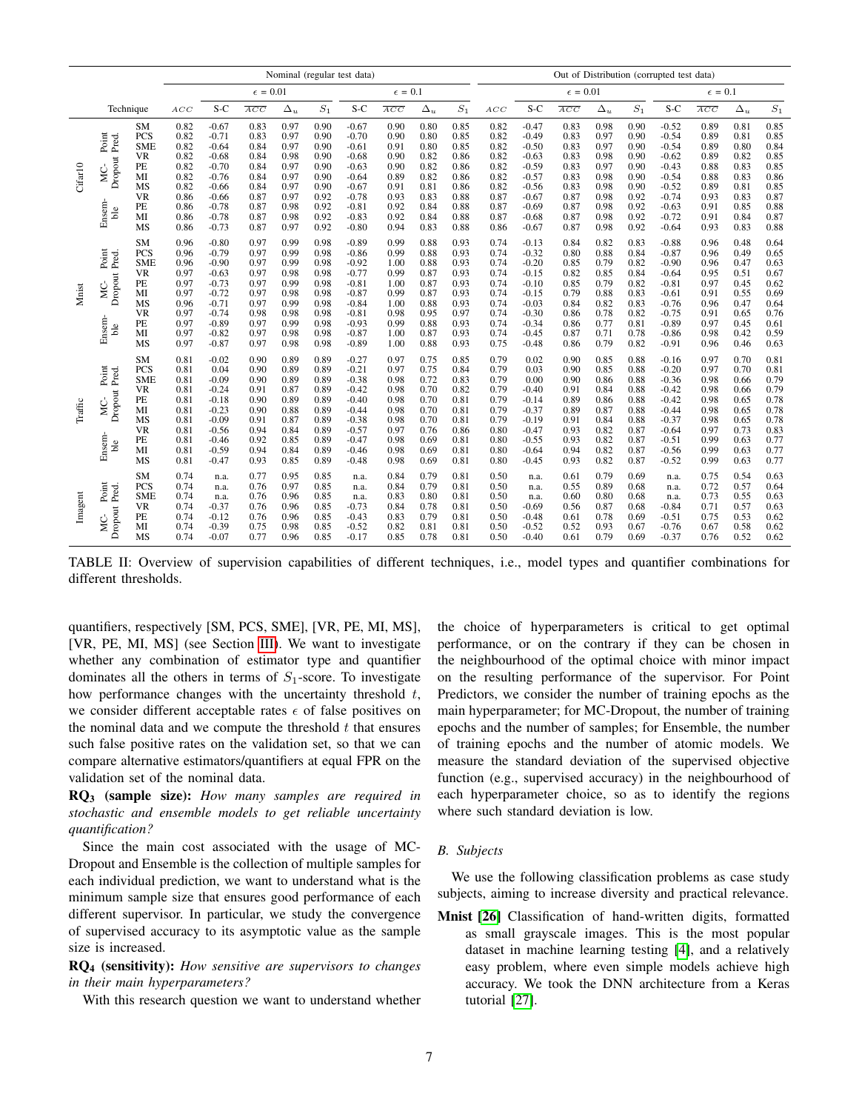<span id="page-6-0"></span>

|         |                                                   |                                                                                                            | Nominal (regular test data)                                                          |                                                                                                                       |                                                                                      |                                                                                      |                                                                                      |                                                                                                                       | Out of Distribution (corrupted test data)                                            |                                                                                      |                                                                                      |                                                                                      |                                                                                                                       |                                                                                      |                                                                                      |                                                                                      |                                                                                                                       |                                                                                      |                                                                                      |                                                                                      |
|---------|---------------------------------------------------|------------------------------------------------------------------------------------------------------------|--------------------------------------------------------------------------------------|-----------------------------------------------------------------------------------------------------------------------|--------------------------------------------------------------------------------------|--------------------------------------------------------------------------------------|--------------------------------------------------------------------------------------|-----------------------------------------------------------------------------------------------------------------------|--------------------------------------------------------------------------------------|--------------------------------------------------------------------------------------|--------------------------------------------------------------------------------------|--------------------------------------------------------------------------------------|-----------------------------------------------------------------------------------------------------------------------|--------------------------------------------------------------------------------------|--------------------------------------------------------------------------------------|--------------------------------------------------------------------------------------|-----------------------------------------------------------------------------------------------------------------------|--------------------------------------------------------------------------------------|--------------------------------------------------------------------------------------|--------------------------------------------------------------------------------------|
|         |                                                   |                                                                                                            |                                                                                      |                                                                                                                       | $\epsilon = 0.01$                                                                    |                                                                                      |                                                                                      |                                                                                                                       | $\epsilon = 0.1$                                                                     |                                                                                      |                                                                                      |                                                                                      |                                                                                                                       | $\epsilon=0.01$                                                                      |                                                                                      |                                                                                      |                                                                                                                       | $\epsilon=0.1$                                                                       |                                                                                      |                                                                                      |
|         | Technique                                         |                                                                                                            | ACC                                                                                  | $S-C$                                                                                                                 | $\overline{ACC}$                                                                     | $\Delta_u$                                                                           | $S_1$                                                                                | S-C                                                                                                                   | $\overline{ACC}$                                                                     | $\Delta_u$                                                                           | $\mathcal{S}_1$                                                                      | ACC                                                                                  | S-C                                                                                                                   | $\overline{ACC}$                                                                     | $\Delta_u$                                                                           | $S_1$                                                                                | $S-C$                                                                                                                 | $\overline{ACC}$                                                                     | $\Delta_u$                                                                           | $\mathcal{S}_1$                                                                      |
| Cifar10 | Point<br>Pred.<br>Dropout<br>МC-<br>Ensem-<br>ble | <b>SM</b><br>PCS<br><b>SME</b><br><b>VR</b><br>PE<br>MI<br>MS<br><b>VR</b><br>PE<br>MI<br>MS               | 0.82<br>0.82<br>0.82<br>0.82<br>0.82<br>0.82<br>0.82<br>0.86<br>0.86<br>0.86<br>0.86 | $-0.67$<br>$-0.71$<br>$-0.64$<br>$-0.68$<br>$-0.70$<br>$-0.76$<br>$-0.66$<br>$-0.66$<br>$-0.78$<br>$-0.78$<br>$-0.73$ | 0.83<br>0.83<br>0.84<br>0.84<br>0.84<br>0.84<br>0.84<br>0.87<br>0.87<br>0.87<br>0.87 | 0.97<br>0.97<br>0.97<br>0.98<br>0.97<br>0.97<br>0.97<br>0.97<br>0.98<br>0.98<br>0.97 | 0.90<br>0.90<br>0.90<br>0.90<br>0.90<br>0.90<br>0.90<br>0.92<br>0.92<br>0.92<br>0.92 | $-0.67$<br>$-0.70$<br>$-0.61$<br>$-0.68$<br>$-0.63$<br>$-0.64$<br>$-0.67$<br>$-0.78$<br>$-0.81$<br>$-0.83$<br>$-0.80$ | 0.90<br>0.90<br>0.91<br>0.90<br>0.90<br>0.89<br>0.91<br>0.93<br>0.92<br>0.92<br>0.94 | 0.80<br>0.80<br>0.80<br>0.82<br>0.82<br>0.82<br>0.81<br>0.83<br>0.84<br>0.84<br>0.83 | 0.85<br>0.85<br>0.85<br>0.86<br>0.86<br>0.86<br>0.86<br>0.88<br>0.88<br>0.88<br>0.88 | 0.82<br>0.82<br>0.82<br>0.82<br>0.82<br>0.82<br>0.82<br>0.87<br>0.87<br>0.87<br>0.86 | $-0.47$<br>$-0.49$<br>$-0.50$<br>$-0.63$<br>$-0.59$<br>$-0.57$<br>$-0.56$<br>$-0.67$<br>$-0.69$<br>$-0.68$<br>$-0.67$ | 0.83<br>0.83<br>0.83<br>0.83<br>0.83<br>0.83<br>0.83<br>0.87<br>0.87<br>0.87<br>0.87 | 0.98<br>0.97<br>0.97<br>0.98<br>0.97<br>0.98<br>0.98<br>0.98<br>0.98<br>0.98<br>0.98 | 0.90<br>0.90<br>0.90<br>0.90<br>0.90<br>0.90<br>0.90<br>0.92<br>0.92<br>0.92<br>0.92 | $-0.52$<br>$-0.54$<br>$-0.54$<br>$-0.62$<br>$-0.43$<br>$-0.54$<br>$-0.52$<br>$-0.74$<br>$-0.63$<br>$-0.72$<br>$-0.64$ | 0.89<br>0.89<br>0.89<br>0.89<br>0.88<br>0.88<br>0.89<br>0.93<br>0.91<br>0.91<br>0.93 | 0.81<br>0.81<br>0.80<br>0.82<br>0.83<br>0.83<br>0.81<br>0.83<br>0.85<br>0.84<br>0.83 | 0.85<br>0.85<br>0.84<br>0.85<br>0.85<br>0.86<br>0.85<br>0.87<br>0.88<br>0.87<br>0.88 |
| Mnist   | Point<br>Pred.<br>Dropout<br>УC-<br>Ensem-<br>ble | <b>SM</b><br>PCS<br><b>SME</b><br><b>VR</b><br>PE<br>MI<br>MS<br><b>VR</b><br>PE<br>MI<br><b>MS</b>        | 0.96<br>0.96<br>0.96<br>0.97<br>0.97<br>0.97<br>0.96<br>0.97<br>0.97<br>0.97<br>0.97 | $-0.80$<br>$-0.79$<br>$-0.90$<br>$-0.63$<br>$-0.73$<br>$-0.72$<br>$-0.71$<br>$-0.74$<br>$-0.89$<br>$-0.82$<br>$-0.87$ | 0.97<br>0.97<br>0.97<br>0.97<br>0.97<br>0.97<br>0.97<br>0.98<br>0.97<br>0.97<br>0.97 | 0.99<br>0.99<br>0.99<br>0.98<br>0.99<br>0.98<br>0.99<br>0.98<br>0.99<br>0.98<br>0.98 | 0.98<br>0.98<br>0.98<br>0.98<br>0.98<br>0.98<br>0.98<br>0.98<br>0.98<br>0.98<br>0.98 | $-0.89$<br>$-0.86$<br>$-0.92$<br>$-0.77$<br>$-0.81$<br>$-0.87$<br>$-0.84$<br>$-0.81$<br>$-0.93$<br>$-0.87$<br>$-0.89$ | 0.99<br>0.99<br>1.00<br>0.99<br>1.00<br>0.99<br>1.00<br>0.98<br>0.99<br>1.00<br>1.00 | 0.88<br>0.88<br>0.88<br>0.87<br>0.87<br>0.87<br>0.88<br>0.95<br>0.88<br>0.87<br>0.88 | 0.93<br>0.93<br>0.93<br>0.93<br>0.93<br>0.93<br>0.93<br>0.97<br>0.93<br>0.93<br>0.93 | 0.74<br>0.74<br>0.74<br>0.74<br>0.74<br>0.74<br>0.74<br>0.74<br>0.74<br>0.74<br>0.75 | $-0.13$<br>$-0.32$<br>$-0.20$<br>$-0.15$<br>$-0.10$<br>$-0.15$<br>$-0.03$<br>$-0.30$<br>$-0.34$<br>$-0.45$<br>$-0.48$ | 0.84<br>0.80<br>0.85<br>0.82<br>0.85<br>0.79<br>0.84<br>0.86<br>0.86<br>0.87<br>0.86 | 0.82<br>0.88<br>0.79<br>0.85<br>0.79<br>0.88<br>0.82<br>0.78<br>0.77<br>0.71<br>0.79 | 0.83<br>0.84<br>0.82<br>0.84<br>0.82<br>0.83<br>0.83<br>0.82<br>0.81<br>0.78<br>0.82 | $-0.88$<br>$-0.87$<br>$-0.90$<br>$-0.64$<br>$-0.81$<br>$-0.61$<br>$-0.76$<br>$-0.75$<br>$-0.89$<br>$-0.86$<br>$-0.91$ | 0.96<br>0.96<br>0.96<br>0.95<br>0.97<br>0.91<br>0.96<br>0.91<br>0.97<br>0.98<br>0.96 | 0.48<br>0.49<br>0.47<br>0.51<br>0.45<br>0.55<br>0.47<br>0.65<br>0.45<br>0.42<br>0.46 | 0.64<br>0.65<br>0.63<br>0.67<br>0.62<br>0.69<br>0.64<br>0.76<br>0.61<br>0.59<br>0.63 |
| Traffic | Point<br>Pred.<br>Dropout<br>МC-<br>Ensem-<br>ble | <b>SM</b><br>PCS<br><b>SME</b><br><b>VR</b><br>PE<br>MI<br><b>MS</b><br><b>VR</b><br>PE<br>MI<br><b>MS</b> | 0.81<br>0.81<br>0.81<br>0.81<br>0.81<br>0.81<br>0.81<br>0.81<br>0.81<br>0.81<br>0.81 | $-0.02$<br>0.04<br>$-0.09$<br>$-0.24$<br>$-0.18$<br>$-0.23$<br>$-0.09$<br>$-0.56$<br>$-0.46$<br>$-0.59$<br>$-0.47$    | 0.90<br>0.90<br>0.90<br>0.91<br>0.90<br>0.90<br>0.91<br>0.94<br>0.92<br>0.94<br>0.93 | 0.89<br>0.89<br>0.89<br>0.87<br>0.89<br>0.88<br>0.87<br>0.84<br>0.85<br>0.84<br>0.85 | 0.89<br>0.89<br>0.89<br>0.89<br>0.89<br>0.89<br>0.89<br>0.89<br>0.89<br>0.89<br>0.89 | $-0.27$<br>$-0.21$<br>$-0.38$<br>$-0.42$<br>$-0.40$<br>$-0.44$<br>$-0.38$<br>$-0.57$<br>$-0.47$<br>$-0.46$<br>$-0.48$ | 0.97<br>0.97<br>0.98<br>0.98<br>0.98<br>0.98<br>0.98<br>0.97<br>0.98<br>0.98<br>0.98 | 0.75<br>0.75<br>0.72<br>0.70<br>0.70<br>0.70<br>0.70<br>0.76<br>0.69<br>0.69<br>0.69 | 0.85<br>0.84<br>0.83<br>0.82<br>0.81<br>0.81<br>0.81<br>0.86<br>0.81<br>0.81<br>0.81 | 0.79<br>0.79<br>0.79<br>0.79<br>0.79<br>0.79<br>0.79<br>0.80<br>0.80<br>0.80<br>0.80 | 0.02<br>0.03<br>0.00<br>$-0.40$<br>$-0.14$<br>$-0.37$<br>$-0.19$<br>$-0.47$<br>$-0.55$<br>$-0.64$<br>$-0.45$          | 0.90<br>0.90<br>0.90<br>0.91<br>0.89<br>0.89<br>0.91<br>0.93<br>0.93<br>0.94<br>0.93 | 0.85<br>0.85<br>0.86<br>0.84<br>0.86<br>0.87<br>0.84<br>0.82<br>0.82<br>0.82<br>0.82 | 0.88<br>0.88<br>0.88<br>0.88<br>0.88<br>0.88<br>0.88<br>0.87<br>0.87<br>0.87<br>0.87 | $-0.16$<br>$-0.20$<br>$-0.36$<br>$-0.42$<br>$-0.42$<br>$-0.44$<br>$-0.37$<br>$-0.64$<br>$-0.51$<br>$-0.56$<br>$-0.52$ | 0.97<br>0.97<br>0.98<br>0.98<br>0.98<br>0.98<br>0.98<br>0.97<br>0.99<br>0.99<br>0.99 | 0.70<br>0.70<br>0.66<br>0.66<br>0.65<br>0.65<br>0.65<br>0.73<br>0.63<br>0.63<br>0.63 | 0.81<br>0.81<br>0.79<br>0.79<br>0.78<br>0.78<br>0.78<br>0.83<br>0.77<br>0.77<br>0.77 |
| Imagent | Point<br>Pred.<br>Dropout<br>ΔÇ.                  | <b>SM</b><br>PCS<br><b>SME</b><br><b>VR</b><br>PE<br>MI<br>MS                                              | 0.74<br>0.74<br>0.74<br>0.74<br>0.74<br>0.74<br>0.74                                 | n.a.<br>n.a.<br>n.a.<br>$-0.37$<br>$-0.12$<br>$-0.39$<br>$-0.07$                                                      | 0.77<br>0.76<br>0.76<br>0.76<br>0.76<br>0.75<br>0.77                                 | 0.95<br>0.97<br>0.96<br>0.96<br>0.96<br>0.98<br>0.96                                 | 0.85<br>0.85<br>0.85<br>0.85<br>0.85<br>0.85<br>0.85                                 | n.a.<br>n.a.<br>n.a.<br>$-0.73$<br>$-0.43$<br>$-0.52$<br>$-0.17$                                                      | 0.84<br>0.84<br>0.83<br>0.84<br>0.83<br>0.82<br>0.85                                 | 0.79<br>0.79<br>0.80<br>0.78<br>0.79<br>0.81<br>0.78                                 | 0.81<br>0.81<br>0.81<br>0.81<br>0.81<br>0.81<br>0.81                                 | 0.50<br>0.50<br>0.50<br>0.50<br>0.50<br>0.50<br>0.50                                 | n.a.<br>n.a.<br>n.a.<br>$-0.69$<br>$-0.48$<br>$-0.52$<br>$-0.40$                                                      | 0.61<br>0.55<br>0.60<br>0.56<br>0.61<br>0.52<br>0.61                                 | 0.79<br>0.89<br>0.80<br>0.87<br>0.78<br>0.93<br>0.79                                 | 0.69<br>0.68<br>0.68<br>0.68<br>0.69<br>0.67<br>0.69                                 | n.a.<br>n.a.<br>n.a.<br>$-0.84$<br>$-0.51$<br>$-0.76$<br>$-0.37$                                                      | 0.75<br>0.72<br>0.73<br>0.71<br>0.75<br>0.67<br>0.76                                 | 0.54<br>0.57<br>0.55<br>0.57<br>0.53<br>0.58<br>0.52                                 | 0.63<br>0.64<br>0.63<br>0.63<br>0.62<br>0.62<br>0.62                                 |

TABLE II: Overview of supervision capabilities of different techniques, i.e., model types and quantifier combinations for different thresholds.

quantifiers, respectively [SM, PCS, SME], [VR, PE, MI, MS], [VR, PE, MI, MS] (see Section [III\)](#page-2-0). We want to investigate whether any combination of estimator type and quantifier dominates all the others in terms of  $S_1$ -score. To investigate how performance changes with the uncertainty threshold  $t$ , we consider different acceptable rates  $\epsilon$  of false positives on the nominal data and we compute the threshold  $t$  that ensures such false positive rates on the validation set, so that we can compare alternative estimators/quantifiers at equal FPR on the validation set of the nominal data.

RQ<sup>3</sup> (sample size): *How many samples are required in stochastic and ensemble models to get reliable uncertainty quantification?*

Since the main cost associated with the usage of MC-Dropout and Ensemble is the collection of multiple samples for each individual prediction, we want to understand what is the minimum sample size that ensures good performance of each different supervisor. In particular, we study the convergence of supervised accuracy to its asymptotic value as the sample size is increased.

RQ<sup>4</sup> (sensitivity): *How sensitive are supervisors to changes in their main hyperparameters?*

With this research question we want to understand whether

the choice of hyperparameters is critical to get optimal performance, or on the contrary if they can be chosen in the neighbourhood of the optimal choice with minor impact on the resulting performance of the supervisor. For Point Predictors, we consider the number of training epochs as the main hyperparameter; for MC-Dropout, the number of training epochs and the number of samples; for Ensemble, the number of training epochs and the number of atomic models. We measure the standard deviation of the supervised objective function (e.g., supervised accuracy) in the neighbourhood of each hyperparameter choice, so as to identify the regions where such standard deviation is low.

# *B. Subjects*

We use the following classification problems as case study subjects, aiming to increase diversity and practical relevance.

Mnist [\[26\]](#page-10-25) Classification of hand-written digits, formatted as small grayscale images. This is the most popular dataset in machine learning testing [\[4\]](#page-10-3), and a relatively easy problem, where even simple models achieve high accuracy. We took the DNN architecture from a Keras tutorial [\[27\]](#page-10-26).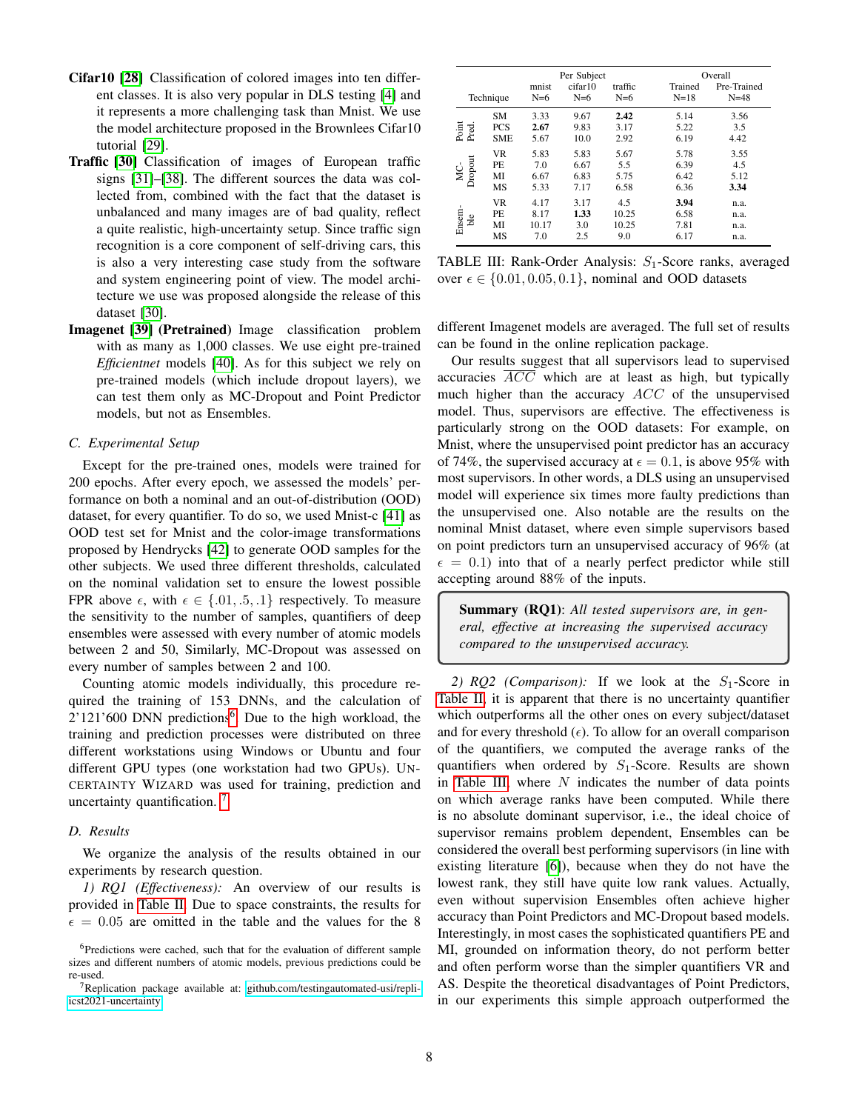- Cifar10 [\[28\]](#page-10-27) Classification of colored images into ten different classes. It is also very popular in DLS testing [\[4\]](#page-10-3) and it represents a more challenging task than Mnist. We use the model architecture proposed in the Brownlees Cifar10 tutorial [\[29\]](#page-10-28).
- Traffic [\[30\]](#page-10-29) Classification of images of European traffic signs [\[31\]](#page-10-30)–[\[38\]](#page-10-31). The different sources the data was collected from, combined with the fact that the dataset is unbalanced and many images are of bad quality, reflect a quite realistic, high-uncertainty setup. Since traffic sign recognition is a core component of self-driving cars, this is also a very interesting case study from the software and system engineering point of view. The model architecture we use was proposed alongside the release of this dataset [\[30\]](#page-10-29).
- Imagenet [\[39\]](#page-10-32) (Pretrained) Image classification problem with as many as 1,000 classes. We use eight pre-trained *Efficientnet* models [\[40\]](#page-10-33). As for this subject we rely on pre-trained models (which include dropout layers), we can test them only as MC-Dropout and Point Predictor models, but not as Ensembles.

#### *C. Experimental Setup*

Except for the pre-trained ones, models were trained for 200 epochs. After every epoch, we assessed the models' performance on both a nominal and an out-of-distribution (OOD) dataset, for every quantifier. To do so, we used Mnist-c [\[41\]](#page-10-34) as OOD test set for Mnist and the color-image transformations proposed by Hendrycks [\[42\]](#page-10-35) to generate OOD samples for the other subjects. We used three different thresholds, calculated on the nominal validation set to ensure the lowest possible FPR above  $\epsilon$ , with  $\epsilon \in \{.01, .5, .1\}$  respectively. To measure the sensitivity to the number of samples, quantifiers of deep ensembles were assessed with every number of atomic models between 2 and 50, Similarly, MC-Dropout was assessed on every number of samples between 2 and 100.

Counting atomic models individually, this procedure required the training of 153 DNNs, and the calculation of  $2'121'600$  $2'121'600$  $2'121'600$  DNN predictions<sup>6</sup>. Due to the high workload, the training and prediction processes were distributed on three different workstations using Windows or Ubuntu and four different GPU types (one workstation had two GPUs). UN-CERTAINTY WIZARD was used for training, prediction and uncertainty quantification.<sup>[7](#page-7-1)</sup>

# *D. Results*

We organize the analysis of the results obtained in our experiments by research question.

*1) RQ1 (Effectiveness):* An overview of our results is provided in [Table II.](#page-6-0) Due to space constraints, the results for  $\epsilon = 0.05$  are omitted in the table and the values for the 8

<span id="page-7-2"></span>

|                |                                       |                              | Per Subject                  |                              | Overall                      |                              |  |  |
|----------------|---------------------------------------|------------------------------|------------------------------|------------------------------|------------------------------|------------------------------|--|--|
| Technique      |                                       | mnist<br>$N=6$               | cifar10<br>$N=6$             |                              | Trained<br>$N = 18$          | Pre-Trained<br>$N = 48$      |  |  |
| Point<br>Pred. | <b>SM</b><br><b>PCS</b><br><b>SME</b> | 3.33<br>2.67<br>5.67         | 9.67<br>9.83<br>10.0         | 2.42<br>3.17<br>2.92         | 5.14<br>5.22<br>6.19         | 3.56<br>3.5<br>4.42          |  |  |
| Dropout<br>Š   | <b>VR</b><br>PE.<br>MI<br>MS          | 5.83<br>7.0<br>6.67<br>5.33  | 5.83<br>6.67<br>6.83<br>7.17 | 5.67<br>5.5<br>5.75<br>6.58  | 5.78<br>6.39<br>6.42<br>6.36 | 3.55<br>4.5<br>5.12<br>3.34  |  |  |
| Ensem-<br>ble  | <b>VR</b><br>PE<br>MI<br>MS           | 4.17<br>8.17<br>10.17<br>7.0 | 3.17<br>1.33<br>3.0<br>2.5   | 4.5<br>10.25<br>10.25<br>9.0 | 3.94<br>6.58<br>7.81<br>6.17 | n.a.<br>n.a.<br>n.a.<br>n.a. |  |  |

TABLE III: Rank-Order Analysis:  $S_1$ -Score ranks, averaged over  $\epsilon \in \{0.01, 0.05, 0.1\}$ , nominal and OOD datasets

different Imagenet models are averaged. The full set of results can be found in the online replication package.

Our results suggest that all supervisors lead to supervised accuracies  $\overline{ACC}$  which are at least as high, but typically much higher than the accuracy  $ACC$  of the unsupervised model. Thus, supervisors are effective. The effectiveness is particularly strong on the OOD datasets: For example, on Mnist, where the unsupervised point predictor has an accuracy of 74%, the supervised accuracy at  $\epsilon = 0.1$ , is above 95% with most supervisors. In other words, a DLS using an unsupervised model will experience six times more faulty predictions than the unsupervised one. Also notable are the results on the nominal Mnist dataset, where even simple supervisors based on point predictors turn an unsupervised accuracy of 96% (at  $\epsilon = 0.1$ ) into that of a nearly perfect predictor while still accepting around 88% of the inputs.

Summary (RQ1): *All tested supervisors are, in general, effective at increasing the supervised accuracy compared to the unsupervised accuracy.*

2)  $RQ2$  (*Comparison*): If we look at the  $S_1$ -Score in [Table II,](#page-6-0) it is apparent that there is no uncertainty quantifier which outperforms all the other ones on every subject/dataset and for every threshold  $(\epsilon)$ . To allow for an overall comparison of the quantifiers, we computed the average ranks of the quantifiers when ordered by  $S_1$ -Score. Results are shown in [Table III,](#page-7-2) where  $N$  indicates the number of data points on which average ranks have been computed. While there is no absolute dominant supervisor, i.e., the ideal choice of supervisor remains problem dependent, Ensembles can be considered the overall best performing supervisors (in line with existing literature [\[6\]](#page-10-4)), because when they do not have the lowest rank, they still have quite low rank values. Actually, even without supervision Ensembles often achieve higher accuracy than Point Predictors and MC-Dropout based models. Interestingly, in most cases the sophisticated quantifiers PE and MI, grounded on information theory, do not perform better and often perform worse than the simpler quantifiers VR and AS. Despite the theoretical disadvantages of Point Predictors, in our experiments this simple approach outperformed the

<span id="page-7-0"></span><sup>&</sup>lt;sup>6</sup>Predictions were cached, such that for the evaluation of different sample sizes and different numbers of atomic models, previous predictions could be re-used.

<span id="page-7-1"></span> $7$ Replication package available at: [github.com/testingautomated-usi/repli](https://github.com/testingautomated-usi/repli-icst2021-uncertainty)[icst2021-uncertainty](https://github.com/testingautomated-usi/repli-icst2021-uncertainty)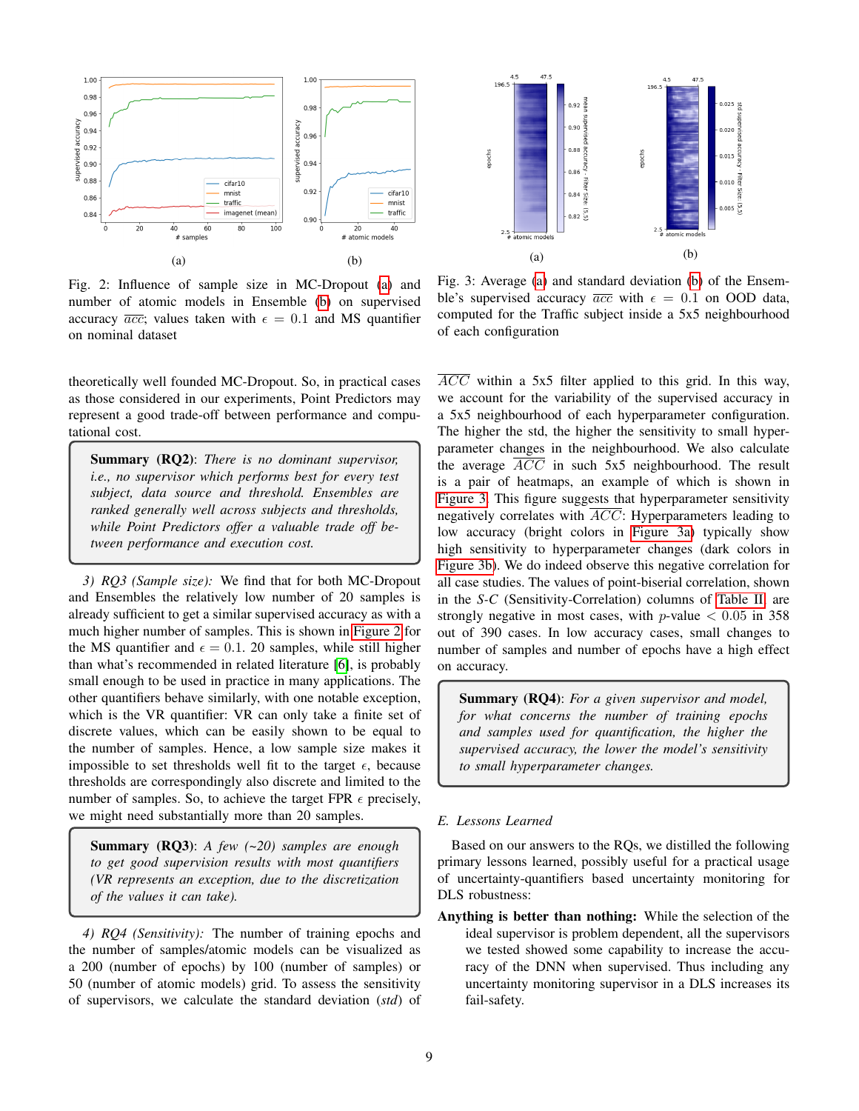<span id="page-8-0"></span>

<span id="page-8-1"></span>

Fig. 2: Influence of sample size in MC-Dropout [\(a\)](#page-8-0) and number of atomic models in Ensemble [\(b\)](#page-8-0) on supervised accuracy  $\overline{acc}$ ; values taken with  $\epsilon = 0.1$  and MS quantifier on nominal dataset

theoretically well founded MC-Dropout. So, in practical cases as those considered in our experiments, Point Predictors may represent a good trade-off between performance and computational cost.

Summary (RQ2): *There is no dominant supervisor, i.e., no supervisor which performs best for every test subject, data source and threshold. Ensembles are ranked generally well across subjects and thresholds, while Point Predictors offer a valuable trade off between performance and execution cost.*

*3) RQ3 (Sample size):* We find that for both MC-Dropout and Ensembles the relatively low number of 20 samples is already sufficient to get a similar supervised accuracy as with a much higher number of samples. This is shown in [Figure 2](#page-8-0) for the MS quantifier and  $\epsilon = 0.1$ . 20 samples, while still higher than what's recommended in related literature [\[6\]](#page-10-4), is probably small enough to be used in practice in many applications. The other quantifiers behave similarly, with one notable exception, which is the VR quantifier: VR can only take a finite set of discrete values, which can be easily shown to be equal to the number of samples. Hence, a low sample size makes it impossible to set thresholds well fit to the target  $\epsilon$ , because thresholds are correspondingly also discrete and limited to the number of samples. So, to achieve the target FPR  $\epsilon$  precisely, we might need substantially more than 20 samples.

Summary (RQ3): *A few (~20) samples are enough to get good supervision results with most quantifiers (VR represents an exception, due to the discretization of the values it can take).*

*4) RQ4 (Sensitivity):* The number of training epochs and the number of samples/atomic models can be visualized as a 200 (number of epochs) by 100 (number of samples) or 50 (number of atomic models) grid. To assess the sensitivity of supervisors, we calculate the standard deviation (*std*) of

Fig. 3: Average [\(a\)](#page-8-0) and standard deviation [\(b\)](#page-8-0) of the Ensemble's supervised accuracy  $\overline{acc}$  with  $\epsilon = 0.1$  on OOD data, computed for the Traffic subject inside a 5x5 neighbourhood of each configuration

ACC within a 5x5 filter applied to this grid. In this way, we account for the variability of the supervised accuracy in a 5x5 neighbourhood of each hyperparameter configuration. The higher the std, the higher the sensitivity to small hyperparameter changes in the neighbourhood. We also calculate the average  $\overline{ACC}$  in such 5x5 neighbourhood. The result is a pair of heatmaps, an example of which is shown in [Figure 3.](#page-8-1) This figure suggests that hyperparameter sensitivity negatively correlates with  $\overline{ACC}$ : Hyperparameters leading to low accuracy (bright colors in [Figure 3a\)](#page-8-1) typically show high sensitivity to hyperparameter changes (dark colors in [Figure 3b\)](#page-8-1). We do indeed observe this negative correlation for all case studies. The values of point-biserial correlation, shown in the *S-C* (Sensitivity-Correlation) columns of [Table II,](#page-6-0) are strongly negative in most cases, with  $p$ -value  $< 0.05$  in 358 out of 390 cases. In low accuracy cases, small changes to number of samples and number of epochs have a high effect on accuracy.

Summary (RQ4): *For a given supervisor and model, for what concerns the number of training epochs and samples used for quantification, the higher the supervised accuracy, the lower the model's sensitivity to small hyperparameter changes.*

# *E. Lessons Learned*

Based on our answers to the RQs, we distilled the following primary lessons learned, possibly useful for a practical usage of uncertainty-quantifiers based uncertainty monitoring for DLS robustness:

Anything is better than nothing: While the selection of the ideal supervisor is problem dependent, all the supervisors we tested showed some capability to increase the accuracy of the DNN when supervised. Thus including any uncertainty monitoring supervisor in a DLS increases its fail-safety.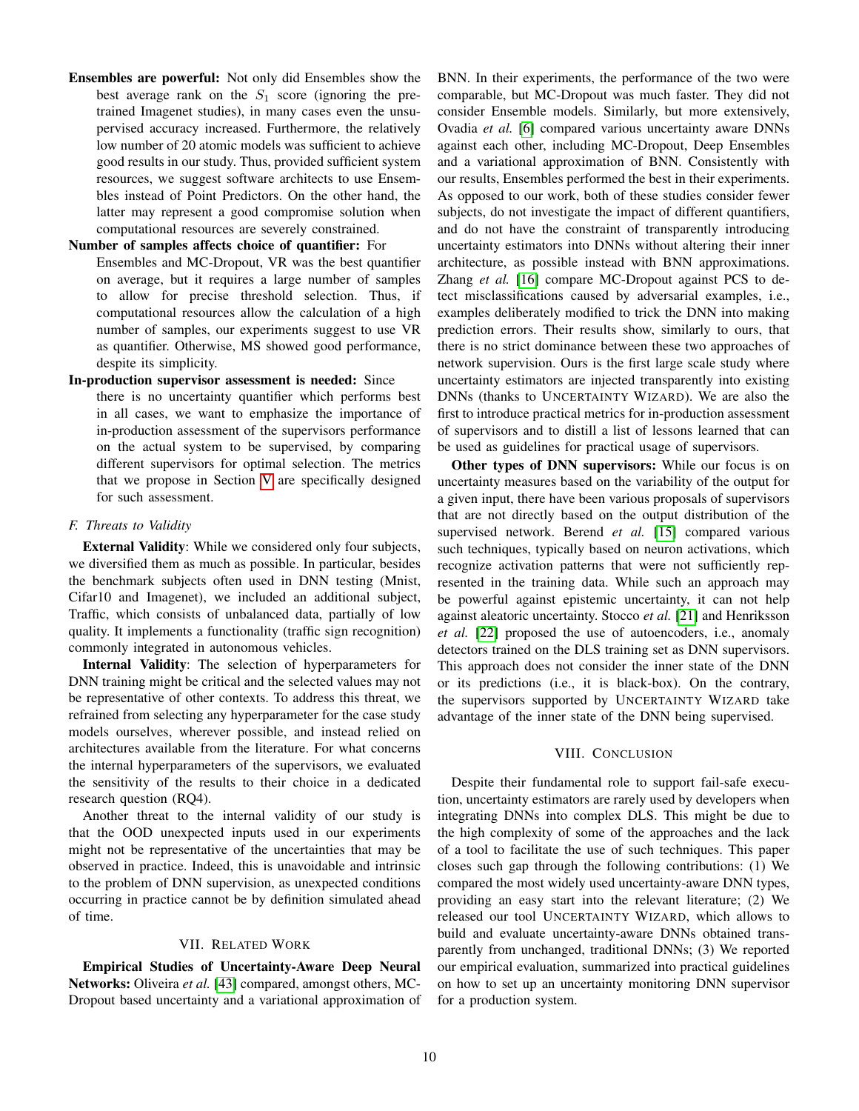Ensembles are powerful: Not only did Ensembles show the best average rank on the  $S_1$  score (ignoring the pretrained Imagenet studies), in many cases even the unsupervised accuracy increased. Furthermore, the relatively low number of 20 atomic models was sufficient to achieve good results in our study. Thus, provided sufficient system resources, we suggest software architects to use Ensembles instead of Point Predictors. On the other hand, the latter may represent a good compromise solution when computational resources are severely constrained.

# Number of samples affects choice of quantifier: For

Ensembles and MC-Dropout, VR was the best quantifier on average, but it requires a large number of samples to allow for precise threshold selection. Thus, if computational resources allow the calculation of a high number of samples, our experiments suggest to use VR as quantifier. Otherwise, MS showed good performance, despite its simplicity.

# In-production supervisor assessment is needed: Since

there is no uncertainty quantifier which performs best in all cases, we want to emphasize the importance of in-production assessment of the supervisors performance on the actual system to be supervised, by comparing different supervisors for optimal selection. The metrics that we propose in Section [V](#page-4-2) are specifically designed for such assessment.

# *F. Threats to Validity*

External Validity: While we considered only four subjects, we diversified them as much as possible. In particular, besides the benchmark subjects often used in DNN testing (Mnist, Cifar10 and Imagenet), we included an additional subject, Traffic, which consists of unbalanced data, partially of low quality. It implements a functionality (traffic sign recognition) commonly integrated in autonomous vehicles.

Internal Validity: The selection of hyperparameters for DNN training might be critical and the selected values may not be representative of other contexts. To address this threat, we refrained from selecting any hyperparameter for the case study models ourselves, wherever possible, and instead relied on architectures available from the literature. For what concerns the internal hyperparameters of the supervisors, we evaluated the sensitivity of the results to their choice in a dedicated research question (RQ4).

Another threat to the internal validity of our study is that the OOD unexpected inputs used in our experiments might not be representative of the uncertainties that may be observed in practice. Indeed, this is unavoidable and intrinsic to the problem of DNN supervision, as unexpected conditions occurring in practice cannot be by definition simulated ahead of time.

# VII. RELATED WORK

Empirical Studies of Uncertainty-Aware Deep Neural Networks: Oliveira *et al.* [\[43\]](#page-11-0) compared, amongst others, MC-Dropout based uncertainty and a variational approximation of BNN. In their experiments, the performance of the two were comparable, but MC-Dropout was much faster. They did not consider Ensemble models. Similarly, but more extensively, Ovadia *et al.* [\[6\]](#page-10-4) compared various uncertainty aware DNNs against each other, including MC-Dropout, Deep Ensembles and a variational approximation of BNN. Consistently with our results, Ensembles performed the best in their experiments. As opposed to our work, both of these studies consider fewer subjects, do not investigate the impact of different quantifiers, and do not have the constraint of transparently introducing uncertainty estimators into DNNs without altering their inner architecture, as possible instead with BNN approximations. Zhang *et al.* [\[16\]](#page-10-15) compare MC-Dropout against PCS to detect misclassifications caused by adversarial examples, i.e., examples deliberately modified to trick the DNN into making prediction errors. Their results show, similarly to ours, that there is no strict dominance between these two approaches of network supervision. Ours is the first large scale study where uncertainty estimators are injected transparently into existing DNNs (thanks to UNCERTAINTY WIZARD). We are also the first to introduce practical metrics for in-production assessment of supervisors and to distill a list of lessons learned that can be used as guidelines for practical usage of supervisors.

Other types of DNN supervisors: While our focus is on uncertainty measures based on the variability of the output for a given input, there have been various proposals of supervisors that are not directly based on the output distribution of the supervised network. Berend *et al.* [\[15\]](#page-10-14) compared various such techniques, typically based on neuron activations, which recognize activation patterns that were not sufficiently represented in the training data. While such an approach may be powerful against epistemic uncertainty, it can not help against aleatoric uncertainty. Stocco *et al.* [\[21\]](#page-10-20) and Henriksson *et al.* [\[22\]](#page-10-21) proposed the use of autoencoders, i.e., anomaly detectors trained on the DLS training set as DNN supervisors. This approach does not consider the inner state of the DNN or its predictions (i.e., it is black-box). On the contrary, the supervisors supported by UNCERTAINTY WIZARD take advantage of the inner state of the DNN being supervised.

# VIII. CONCLUSION

Despite their fundamental role to support fail-safe execution, uncertainty estimators are rarely used by developers when integrating DNNs into complex DLS. This might be due to the high complexity of some of the approaches and the lack of a tool to facilitate the use of such techniques. This paper closes such gap through the following contributions: (1) We compared the most widely used uncertainty-aware DNN types, providing an easy start into the relevant literature; (2) We released our tool UNCERTAINTY WIZARD, which allows to build and evaluate uncertainty-aware DNNs obtained transparently from unchanged, traditional DNNs; (3) We reported our empirical evaluation, summarized into practical guidelines on how to set up an uncertainty monitoring DNN supervisor for a production system.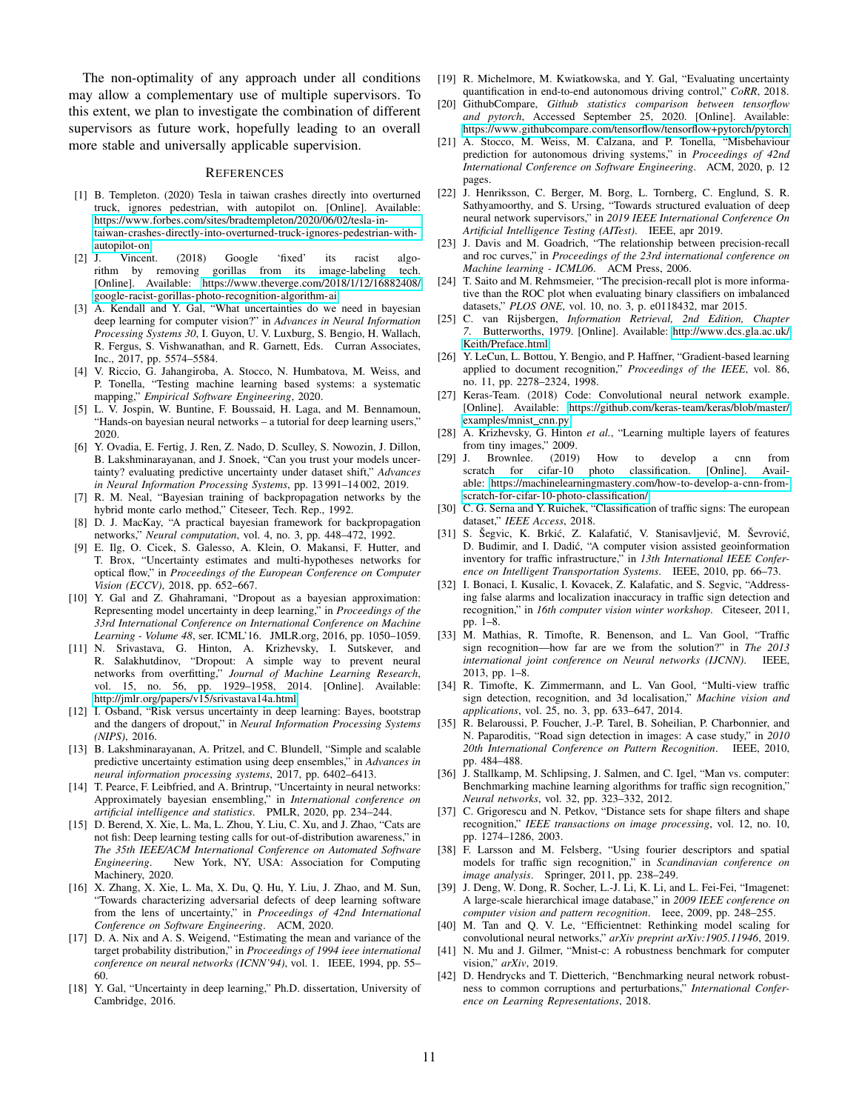The non-optimality of any approach under all conditions may allow a complementary use of multiple supervisors. To this extent, we plan to investigate the combination of different supervisors as future work, hopefully leading to an overall more stable and universally applicable supervision.

#### **REFERENCES**

- <span id="page-10-0"></span>[1] B. Templeton. (2020) Tesla in taiwan crashes directly into overturned truck, ignores pedestrian, with autopilot on. [Online]. Available: https://www.forbes.[com/sites/bradtempleton/2020/06/02/tesla-in](https://www.forbes.com/sites/bradtempleton/2020/06/02/tesla-in-taiwan-crashes-directly-into-overturned-truck-ignores-pedestrian-with-autopilot-on)[taiwan-crashes-directly-into-overturned-truck-ignores-pedestrian-with](https://www.forbes.com/sites/bradtempleton/2020/06/02/tesla-in-taiwan-crashes-directly-into-overturned-truck-ignores-pedestrian-with-autopilot-on)[autopilot-on](https://www.forbes.com/sites/bradtempleton/2020/06/02/tesla-in-taiwan-crashes-directly-into-overturned-truck-ignores-pedestrian-with-autopilot-on)
- <span id="page-10-1"></span>[2] J. Vincent. (2018) Google 'fixed' its racist algorithm by removing gorillas from its image-labeling tech. [Online]. Available: https://www.theverge.[com/2018/1/12/16882408/](https://www.theverge.com/2018/1/12/16882408/google-racist-gorillas-photo-recognition-algorithm-ai) [google-racist-gorillas-photo-recognition-algorithm-ai](https://www.theverge.com/2018/1/12/16882408/google-racist-gorillas-photo-recognition-algorithm-ai)
- <span id="page-10-2"></span>[3] A. Kendall and Y. Gal, "What uncertainties do we need in bayesian deep learning for computer vision?" in *Advances in Neural Information Processing Systems 30*, I. Guyon, U. V. Luxburg, S. Bengio, H. Wallach, R. Fergus, S. Vishwanathan, and R. Garnett, Eds. Curran Associates, Inc., 2017, pp. 5574–5584.
- <span id="page-10-3"></span>[4] V. Riccio, G. Jahangiroba, A. Stocco, N. Humbatova, M. Weiss, and P. Tonella, "Testing machine learning based systems: a systematic mapping," *Empirical Software Engineering*, 2020.
- <span id="page-10-6"></span>[5] L. V. Jospin, W. Buntine, F. Boussaid, H. Laga, and M. Bennamoun, "Hands-on bayesian neural networks – a tutorial for deep learning users," 2020.
- <span id="page-10-4"></span>[6] Y. Ovadia, E. Fertig, J. Ren, Z. Nado, D. Sculley, S. Nowozin, J. Dillon, B. Lakshminarayanan, and J. Snoek, "Can you trust your models uncertainty? evaluating predictive uncertainty under dataset shift," *Advances in Neural Information Processing Systems*, pp. 13 991–14 002, 2019.
- <span id="page-10-5"></span>[7] R. M. Neal, "Bayesian training of backpropagation networks by the hybrid monte carlo method," Citeseer, Tech. Rep., 1992.
- <span id="page-10-7"></span>[8] D. J. MacKay, "A practical bayesian framework for backpropagation networks," *Neural computation*, vol. 4, no. 3, pp. 448–472, 1992.
- <span id="page-10-8"></span>[9] E. Ilg, O. Cicek, S. Galesso, A. Klein, O. Makansi, F. Hutter, and T. Brox, "Uncertainty estimates and multi-hypotheses networks for optical flow," in *Proceedings of the European Conference on Computer Vision (ECCV)*, 2018, pp. 652–667.
- <span id="page-10-9"></span>[10] Y. Gal and Z. Ghahramani, "Dropout as a bayesian approximation: Representing model uncertainty in deep learning," in *Proceedings of the 33rd International Conference on International Conference on Machine Learning - Volume 48*, ser. ICML'16. JMLR.org, 2016, pp. 1050–1059.
- <span id="page-10-10"></span>[11] N. Srivastava, G. Hinton, A. Krizhevsky, I. Sutskever, and R. Salakhutdinov, "Dropout: A simple way to prevent neural networks from overfitting," *Journal of Machine Learning Research*, vol. 15, no. 56, pp. 1929–1958, 2014. [Online]. Available: http://jmlr.[org/papers/v15/srivastava14a](http://jmlr.org/papers/v15/srivastava14a.html).html
- <span id="page-10-11"></span>[12] I. Osband, "Risk versus uncertainty in deep learning: Bayes, bootstrap and the dangers of dropout," in *Neural Information Processing Systems (NIPS)*, 2016.
- <span id="page-10-12"></span>[13] B. Lakshminarayanan, A. Pritzel, and C. Blundell, "Simple and scalable predictive uncertainty estimation using deep ensembles," in *Advances in neural information processing systems*, 2017, pp. 6402–6413.
- <span id="page-10-13"></span>[14] T. Pearce, F. Leibfried, and A. Brintrup, "Uncertainty in neural networks: Approximately bayesian ensembling," in *International conference on artificial intelligence and statistics*. PMLR, 2020, pp. 234–244.
- <span id="page-10-14"></span>[15] D. Berend, X. Xie, L. Ma, L. Zhou, Y. Liu, C. Xu, and J. Zhao, "Cats are not fish: Deep learning testing calls for out-of-distribution awareness," in *The 35th IEEE/ACM International Conference on Automated Software Engineering*. New York, NY, USA: Association for Computing Machinery, 2020.
- <span id="page-10-15"></span>[16] X. Zhang, X. Xie, L. Ma, X. Du, Q. Hu, Y. Liu, J. Zhao, and M. Sun, "Towards characterizing adversarial defects of deep learning software from the lens of uncertainty," in *Proceedings of 42nd International Conference on Software Engineering*. ACM, 2020.
- <span id="page-10-16"></span>[17] D. A. Nix and A. S. Weigend, "Estimating the mean and variance of the target probability distribution," in *Proceedings of 1994 ieee international conference on neural networks (ICNN'94)*, vol. 1. IEEE, 1994, pp. 55– 60.
- <span id="page-10-17"></span>[18] Y. Gal, "Uncertainty in deep learning," Ph.D. dissertation, University of Cambridge, 2016.
- <span id="page-10-18"></span>[19] R. Michelmore, M. Kwiatkowska, and Y. Gal, "Evaluating uncertainty quantification in end-to-end autonomous driving control," *CoRR*, 2018.
- <span id="page-10-19"></span>[20] GithubCompare, *Github statistics comparison between tensorflow and pytorch*, Accessed September 25, 2020. [Online]. Available: https://www.githubcompare.[com/tensorflow/tensorflow+pytorch/pytorch](https://www.githubcompare.com/tensorflow/tensorflow+pytorch/pytorch)
- <span id="page-10-20"></span>[21] A. Stocco, M. Weiss, M. Calzana, and P. Tonella, "Misbehaviour prediction for autonomous driving systems," in *Proceedings of 42nd International Conference on Software Engineering*. ACM, 2020, p. 12 pages.
- <span id="page-10-21"></span>[22] J. Henriksson, C. Berger, M. Borg, L. Tornberg, C. Englund, S. R. Sathyamoorthy, and S. Ursing, "Towards structured evaluation of deep neural network supervisors," in *2019 IEEE International Conference On Artificial Intelligence Testing (AITest)*. IEEE, apr 2019.
- <span id="page-10-22"></span>[23] J. Davis and M. Goadrich, "The relationship between precision-recall and roc curves," in *Proceedings of the 23rd international conference on Machine learning - ICML06*. ACM Press, 2006.
- <span id="page-10-23"></span>[24] T. Saito and M. Rehmsmeier, "The precision-recall plot is more informative than the ROC plot when evaluating binary classifiers on imbalanced datasets," *PLOS ONE*, vol. 10, no. 3, p. e0118432, mar 2015.
- <span id="page-10-24"></span>[25] C. van Rijsbergen, *Information Retrieval, 2nd Edition, Chapter 7*. Butterworths, 1979. [Online]. Available: [http://www](http://www.dcs.gla.ac.uk/Keith/Preface.html).dcs.gla.ac.uk/ [Keith/Preface](http://www.dcs.gla.ac.uk/Keith/Preface.html).html
- <span id="page-10-25"></span>[26] Y. LeCun, L. Bottou, Y. Bengio, and P. Haffner, "Gradient-based learning applied to document recognition," *Proceedings of the IEEE*, vol. 86, no. 11, pp. 2278–2324, 1998.
- <span id="page-10-26"></span>[27] Keras-Team. (2018) Code: Convolutional neural network example. [Online]. Available: https://github.[com/keras-team/keras/blob/master/](https://github.com/keras-team/keras/blob/master/examples/mnist_cnn.py) [examples/mnist](https://github.com/keras-team/keras/blob/master/examples/mnist_cnn.py) cnn.py
- <span id="page-10-27"></span>[28] A. Krizhevsky, G. Hinton *et al.*, "Learning multiple layers of features from tiny images," 2009.
- <span id="page-10-28"></span>[29] J. Brownlee. (2019) How to develop a cnn from scratch for cifar-10 photo classification. [Online]. Available: https://machinelearningmastery.[com/how-to-develop-a-cnn-from](https://machinelearningmastery.com/how-to-develop-a-cnn-from-scratch-for-cifar-10-photo-classification/)[scratch-for-cifar-10-photo-classification/](https://machinelearningmastery.com/how-to-develop-a-cnn-from-scratch-for-cifar-10-photo-classification/)
- <span id="page-10-29"></span>[30] C. G. Serna and Y. Ruichek, "Classification of traffic signs: The european dataset," *IEEE Access*, 2018.
- <span id="page-10-30"></span>[31] S. Šegvic, K. Brkić, Z. Kalafatić, V. Stanisavljević, M. Ševrović, D. Budimir, and I. Dadic, "A computer vision assisted geoinformation ´ inventory for traffic infrastructure," in *13th International IEEE Conference on Intelligent Transportation Systems*. IEEE, 2010, pp. 66–73.
- [32] I. Bonaci, I. Kusalic, I. Kovacek, Z. Kalafatic, and S. Segvic, "Addressing false alarms and localization inaccuracy in traffic sign detection and recognition," in *16th computer vision winter workshop*. Citeseer, 2011, pp. 1–8.
- [33] M. Mathias, R. Timofte, R. Benenson, and L. Van Gool, "Traffic sign recognition—how far are we from the solution?" in *The 2013 international joint conference on Neural networks (IJCNN)*. IEEE, 2013, pp. 1–8.
- [34] R. Timofte, K. Zimmermann, and L. Van Gool, "Multi-view traffic sign detection, recognition, and 3d localisation," *Machine vision and applications*, vol. 25, no. 3, pp. 633–647, 2014.
- [35] R. Belaroussi, P. Foucher, J.-P. Tarel, B. Soheilian, P. Charbonnier, and N. Paparoditis, "Road sign detection in images: A case study," in *2010 20th International Conference on Pattern Recognition*. IEEE, 2010, pp. 484–488.
- [36] J. Stallkamp, M. Schlipsing, J. Salmen, and C. Igel, "Man vs. computer: Benchmarking machine learning algorithms for traffic sign recognition," *Neural networks*, vol. 32, pp. 323–332, 2012.
- [37] C. Grigorescu and N. Petkov, "Distance sets for shape filters and shape recognition," *IEEE transactions on image processing*, vol. 12, no. 10, pp. 1274–1286, 2003.
- <span id="page-10-31"></span>[38] F. Larsson and M. Felsberg, "Using fourier descriptors and spatial models for traffic sign recognition," in *Scandinavian conference on image analysis*. Springer, 2011, pp. 238–249.
- <span id="page-10-32"></span>[39] J. Deng, W. Dong, R. Socher, L.-J. Li, K. Li, and L. Fei-Fei, "Imagenet: A large-scale hierarchical image database," in *2009 IEEE conference on computer vision and pattern recognition*. Ieee, 2009, pp. 248–255.
- <span id="page-10-33"></span>[40] M. Tan and Q. V. Le, "Efficientnet: Rethinking model scaling for convolutional neural networks," *arXiv preprint arXiv:1905.11946*, 2019.
- <span id="page-10-34"></span>[41] N. Mu and J. Gilmer, "Mnist-c: A robustness benchmark for computer vision," *arXiv*, 2019.
- <span id="page-10-35"></span>[42] D. Hendrycks and T. Dietterich, "Benchmarking neural network robustness to common corruptions and perturbations," *International Conference on Learning Representations*, 2018.